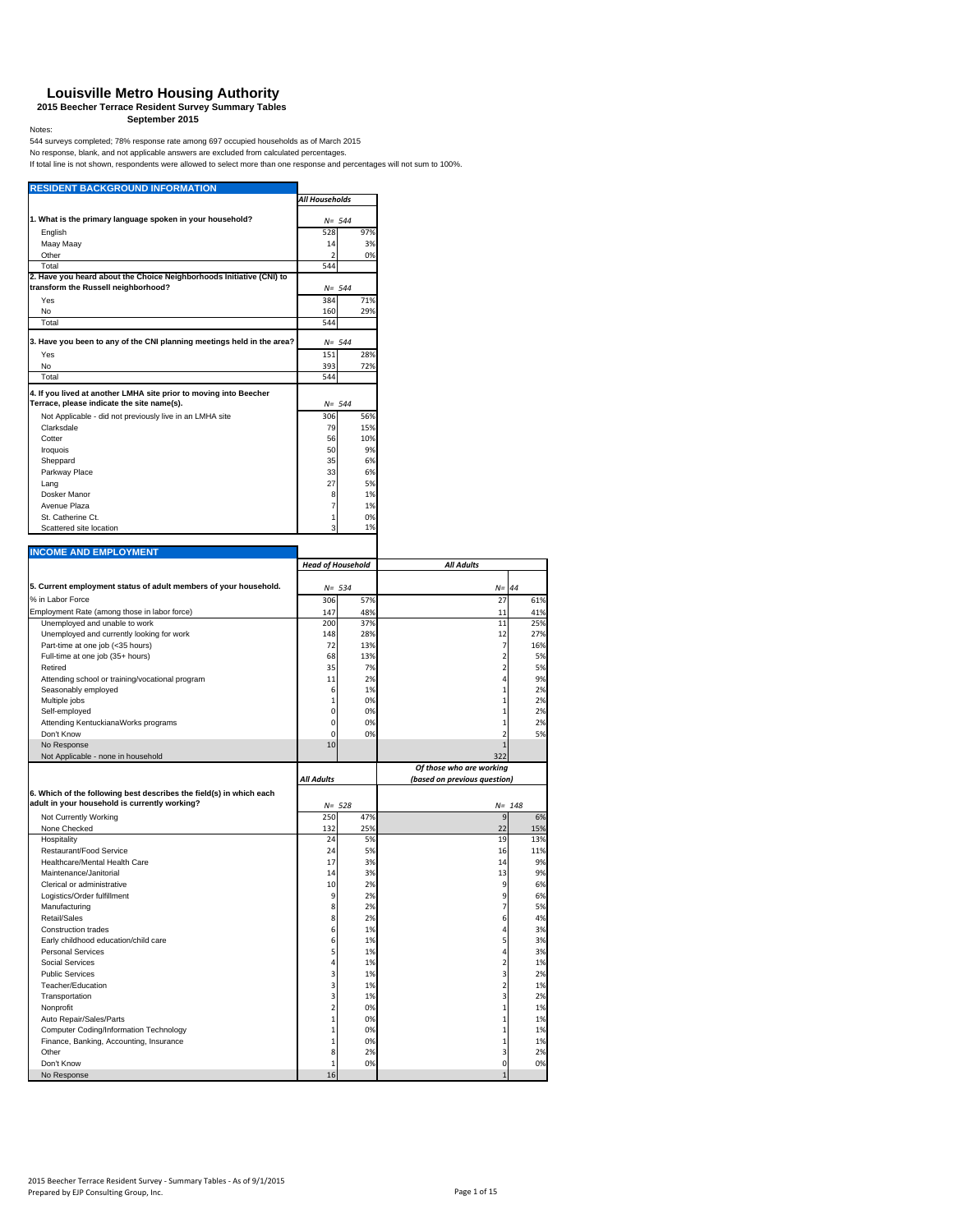#### **Louisville Metro Housing Authority**

**2015 Beecher Terrace Resident Survey Summary Tables September 2015**

#### Notes:

544 surveys completed; 78% response rate among 697 occupied households as of March 2015<br>No response, blank, and not applicable answers are excluded from calculated percentages.<br>If total line is not shown, respondents were

| <b>RESIDENT BACKGROUND INFORMATION</b>                                                   | All Households                 |            |                              |                                                                                                                                     |
|------------------------------------------------------------------------------------------|--------------------------------|------------|------------------------------|-------------------------------------------------------------------------------------------------------------------------------------|
|                                                                                          |                                |            |                              |                                                                                                                                     |
| 1. What is the primary language spoken in your household?                                | $N = 544$                      |            |                              |                                                                                                                                     |
| English                                                                                  | 528                            | 97%        |                              |                                                                                                                                     |
| Maay Maay                                                                                | 14<br>$\overline{\phantom{a}}$ | 3%<br>0%   |                              |                                                                                                                                     |
| Other<br>Total                                                                           | 544                            |            |                              |                                                                                                                                     |
| 2. Have you heard about the Choice Neighborhoods Initiative (CNI) to                     |                                |            |                              |                                                                                                                                     |
| transform the Russell neighborhood?                                                      | $N = 544$                      |            |                              |                                                                                                                                     |
| Yes                                                                                      | 384                            | 71%        |                              |                                                                                                                                     |
| No                                                                                       | 160                            | 29%        |                              |                                                                                                                                     |
| Total                                                                                    | 544                            |            |                              |                                                                                                                                     |
| 3. Have you been to any of the CNI planning meetings held in the area?                   |                                |            |                              |                                                                                                                                     |
| Yes                                                                                      | $N = 544$<br>151               | 28%        |                              |                                                                                                                                     |
| No                                                                                       | 393                            | 72%        |                              |                                                                                                                                     |
| Total                                                                                    | 544                            |            |                              |                                                                                                                                     |
| 4. If you lived at another LMHA site prior to moving into Beecher                        |                                |            |                              |                                                                                                                                     |
| Terrace, please indicate the site name(s).                                               | $N = 544$                      |            |                              |                                                                                                                                     |
| Not Applicable - did not previously live in an LMHA site                                 | 306                            | 56%        |                              |                                                                                                                                     |
| Clarksdale                                                                               | 79                             | 15%        |                              |                                                                                                                                     |
| Cotter                                                                                   | 56                             | 10%        |                              |                                                                                                                                     |
| Iroquois                                                                                 | 50                             | 9%         |                              |                                                                                                                                     |
| Sheppard                                                                                 | 35                             | 6%         |                              |                                                                                                                                     |
| Parkway Place                                                                            | 33                             | 6%         |                              |                                                                                                                                     |
| Lang<br>Dosker Manor                                                                     | 27                             | 5%         |                              |                                                                                                                                     |
| Avenue Plaza                                                                             | 8<br>7                         | 1%<br>1%   |                              |                                                                                                                                     |
| St. Catherine Ct.                                                                        | 1                              | 0%         |                              |                                                                                                                                     |
| Scattered site location                                                                  | 3                              | 1%         |                              |                                                                                                                                     |
|                                                                                          |                                |            |                              |                                                                                                                                     |
| <b>INCOME AND EMPLOYMENT</b>                                                             |                                |            |                              |                                                                                                                                     |
|                                                                                          | <b>Head of Household</b>       |            | <b>All Adults</b>            |                                                                                                                                     |
|                                                                                          |                                |            |                              |                                                                                                                                     |
| 5. Current employment status of adult members of your household.                         | $N = 534$                      |            | $N =$                        | 44                                                                                                                                  |
| % in Labor Force                                                                         | 306                            | 57%        | 27                           | 61%                                                                                                                                 |
| Employment Rate (among those in labor force)                                             | 147                            | 48%        | 11                           | 41%                                                                                                                                 |
| Unemployed and unable to work<br>Unemployed and currently looking for work               | 200<br>148                     | 37%<br>28% | 11<br>12                     | 25%<br>27%                                                                                                                          |
| Part-time at one job (<35 hours)                                                         | 72                             | 13%        | 7                            | 16%                                                                                                                                 |
| Full-time at one job (35+ hours)                                                         | 68                             | 13%        | 2                            | 5%                                                                                                                                  |
| Retired                                                                                  | 35                             | 7%         | $\overline{\mathbf{c}}$      | 5%                                                                                                                                  |
| Attending school or training/vocational program                                          | 11                             | 2%         | 4                            | 9%                                                                                                                                  |
| Seasonably employed                                                                      | 6                              | 1%         | $\mathbf 1$                  | 2%                                                                                                                                  |
| Multiple jobs                                                                            | $\mathbf{1}$                   | 0%         | $\mathbf{1}$                 | 2%                                                                                                                                  |
| Self-employed<br>Attending KentuckianaWorks programs                                     | 0<br>0                         | 0%<br>0%   | $\mathbf{1}$<br>$\mathbf 1$  | 2%<br>2%                                                                                                                            |
| Don't Know                                                                               |                                | 0%         | $\overline{\mathbf{c}}$      | 5%                                                                                                                                  |
|                                                                                          |                                |            | $\mathbf{1}$                 |                                                                                                                                     |
|                                                                                          | $\mathbf 0$<br>10              |            |                              |                                                                                                                                     |
| No Response<br>Not Applicable - none in household                                        |                                |            | 322                          |                                                                                                                                     |
|                                                                                          |                                |            | Of those who are working     |                                                                                                                                     |
|                                                                                          | <b>All Adults</b>              |            | (based on previous question) |                                                                                                                                     |
| 6. Which of the following best describes the field(s) in which each                      |                                |            |                              |                                                                                                                                     |
|                                                                                          | $N = 528$                      |            |                              | $N = 148$                                                                                                                           |
| Not Currently Working                                                                    | 250                            | 47%        | $\overline{9}$               |                                                                                                                                     |
| None Checked                                                                             | 132                            | 25%        | 22                           |                                                                                                                                     |
| Hospitality                                                                              | 24                             | 5%         | 19                           |                                                                                                                                     |
| Restaurant/Food Service                                                                  | 24                             | 5%         | 16                           |                                                                                                                                     |
| Healthcare/Mental Health Care                                                            | 17                             | 3%         | 14                           |                                                                                                                                     |
| Maintenance/Janitorial                                                                   | 14                             | 3%         | 13                           |                                                                                                                                     |
| Clerical or administrative                                                               | 10<br>9                        | 2%         | 9                            |                                                                                                                                     |
| Logistics/Order fulfillment<br>Manufacturing                                             | 8                              | 2%<br>2%   | 9<br>$\overline{7}$          |                                                                                                                                     |
| Retail/Sales                                                                             | 8                              | 2%         | 6                            |                                                                                                                                     |
| <b>Construction trades</b>                                                               | 6                              | 1%         | 4                            |                                                                                                                                     |
| Early childhood education/child care                                                     | 6                              | 1%         | 5                            |                                                                                                                                     |
| Personal Services                                                                        | 5                              | 1%         | 4                            |                                                                                                                                     |
| Social Services                                                                          | 4                              | 1%         | $\overline{\mathbf{c}}$      |                                                                                                                                     |
| <b>Public Services</b>                                                                   | 3                              | 1%         | 3                            |                                                                                                                                     |
| Teacher/Education                                                                        | 3                              | 1%         | $\overline{\mathbf{c}}$      |                                                                                                                                     |
| Transportation                                                                           | 3                              | 1%         | 3                            |                                                                                                                                     |
| Nonprofit<br>Auto Repair/Sales/Parts                                                     | $\mathbf 2$<br>$\mathbf 1$     | 0%<br>0%   | $\mathbf 1$<br>$\mathbf 1$   |                                                                                                                                     |
| Computer Coding/Information Technology                                                   | $\mathbf 1$                    | 0%         | $\mathbf 1$                  |                                                                                                                                     |
| adult in your household is currently working?<br>Finance, Banking, Accounting, Insurance | $\mathbf{1}$                   | 0%         | $\mathbf 1$                  |                                                                                                                                     |
| Other                                                                                    | 8                              | 2%         | 3                            | 6%<br>15%<br>13%<br>11%<br>9%<br>9%<br>6%<br>6%<br>5%<br>4%<br>3%<br>3%<br>3%<br>1%<br>2%<br>1%<br>2%<br>1%<br>1%<br>1%<br>1%<br>2% |
| Don't Know<br>No Response                                                                | $\mathbf{1}$<br>16             | 0%         | $\mathbf 0$<br>$\mathbf{1}$  | 0%                                                                                                                                  |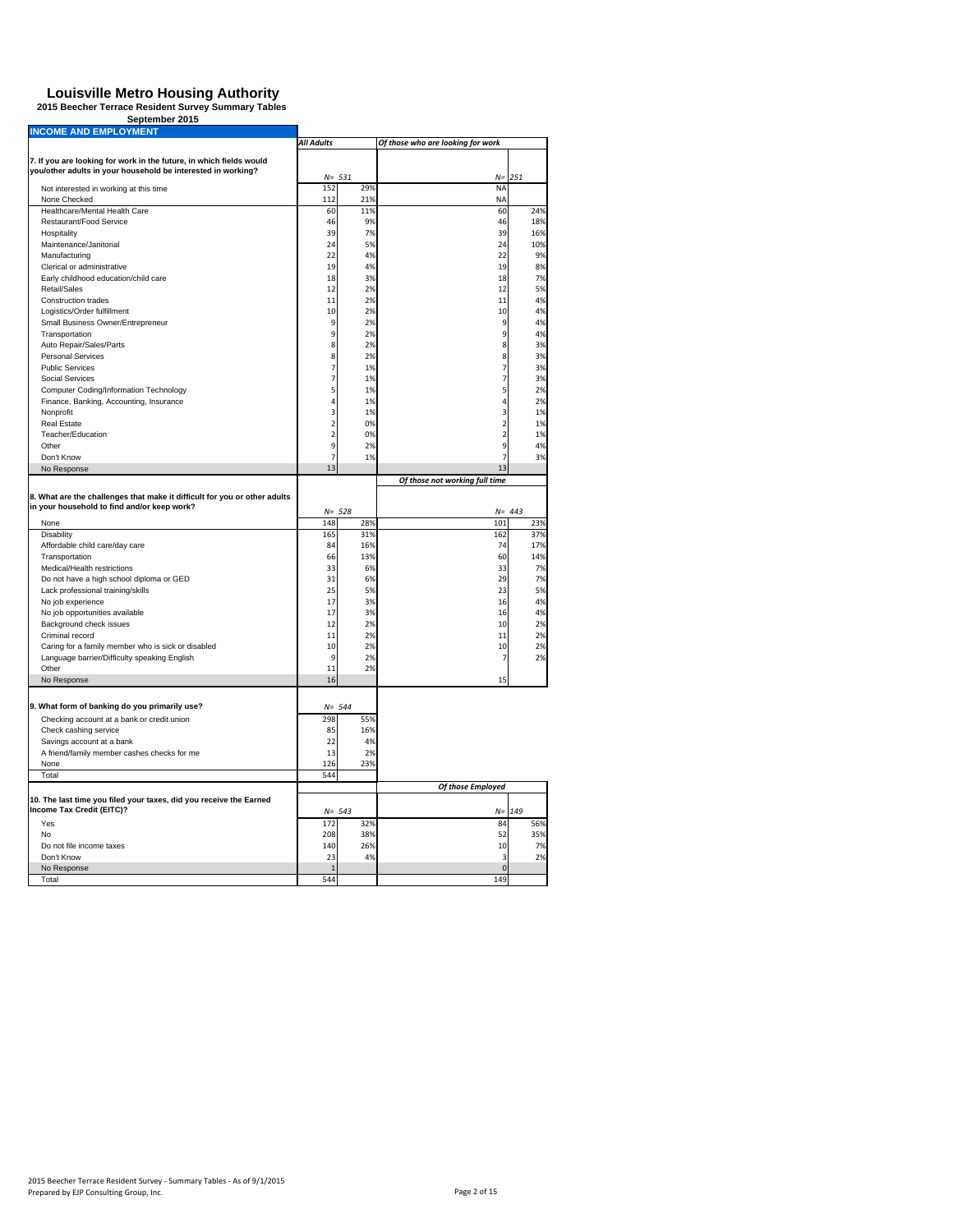|  | September 2015 |  |
|--|----------------|--|
|  |                |  |

| <b>INCOME AND EMPLOYMENT</b>                                              |                         |           |                                   |           |
|---------------------------------------------------------------------------|-------------------------|-----------|-----------------------------------|-----------|
|                                                                           | All Adults              |           | Of those who are looking for work |           |
| 7. If you are looking for work in the future, in which fields would       |                         |           |                                   |           |
| you/other adults in your household be interested in working?              |                         |           |                                   |           |
|                                                                           |                         | $N = 531$ | $N =$                             | 251       |
| Not interested in working at this time                                    | 152                     | 29%       | <b>NA</b>                         |           |
| None Checked                                                              | 112                     | 21%       | <b>NA</b>                         |           |
| Healthcare/Mental Health Care                                             | 60                      | 11%       | 60                                | 24%       |
| Restaurant/Food Service                                                   | 46                      | 9%        | 46                                | 18%       |
| Hospitality                                                               | 39                      | 7%        | 39                                | 16%       |
| Maintenance/Janitorial                                                    | 24                      | 5%        | 24                                | 10%       |
| Manufacturing                                                             | 22                      | 4%        | 22                                | 9%        |
| Clerical or administrative                                                | 19                      | 4%        | 19                                | 8%        |
| Early childhood education/child care                                      | 18                      | 3%        | 18                                | 7%        |
| Retail/Sales                                                              | 12                      | 2%        | 12                                | 5%        |
| Construction trades                                                       | 11                      | 2%        | 11                                | 4%        |
| Logistics/Order fulfillment                                               | 10                      | 2%        | 10                                | 4%        |
| Small Business Owner/Entrepreneur                                         | 9                       | 2%        | 9                                 | 4%        |
| Transportation                                                            | 9                       | 2%        | 9                                 | 4%        |
| Auto Repair/Sales/Parts                                                   | 8                       | 2%        | 8                                 | 3%        |
| <b>Personal Services</b>                                                  | 8                       | 2%        | 8                                 | 3%        |
| <b>Public Services</b>                                                    | $\overline{7}$          | 1%        | 7                                 | 3%        |
| Social Services                                                           | 7                       | 1%        | 7                                 | 3%        |
| Computer Coding/Information Technology                                    | 5                       | 1%        | 5                                 | 2%        |
| Finance, Banking, Accounting, Insurance                                   | 4                       | 1%        | 4                                 | 2%        |
| Nonprofit                                                                 | 3                       | 1%        | 3                                 | 1%        |
| Real Estate                                                               | $\overline{\mathbf{c}}$ | 0%        | $\overline{\mathbf{c}}$           | 1%        |
| Teacher/Education                                                         | $\overline{\mathbf{c}}$ | 0%        | $\overline{\mathbf{c}}$           | 1%        |
| Other                                                                     | 9                       | 2%        | 9                                 |           |
|                                                                           |                         |           | 7                                 | 4%        |
| Don't Know                                                                | 7<br>13                 | 1%        | 13                                | 3%        |
| No Response                                                               |                         |           |                                   |           |
|                                                                           |                         |           | Of those not working full time    |           |
| 8. What are the challenges that make it difficult for you or other adults |                         |           |                                   |           |
| in your household to find and/or keep work?                               |                         | $N = 528$ |                                   | $N = 443$ |
| None                                                                      | 148                     | 28%       | 101                               | 23%       |
| Disability                                                                | 165                     | 31%       | 162                               | 37%       |
| Affordable child care/day care                                            | 84                      | 16%       | 74                                | 17%       |
| Transportation                                                            | 66                      | 13%       | 60                                | 14%       |
| Medical/Health restrictions                                               | 33                      | 6%        | 33                                | 7%        |
| Do not have a high school diploma or GED                                  | 31                      | 6%        | 29                                | 7%        |
|                                                                           |                         | 5%        | 23                                |           |
| Lack professional training/skills<br>No job experience                    | 25                      | 3%        | 16                                | 5%<br>4%  |
|                                                                           | 17                      |           |                                   |           |
| No job opportunities available                                            | 17                      | 3%        | 16                                | 4%        |
| Background check issues                                                   | 12                      | 2%        | 10                                | 2%        |
| Criminal record                                                           | 11                      | 2%        | 11                                | 2%        |
| Caring for a family member who is sick or disabled                        | 10                      | 2%        | 10                                | 2%        |
| Language barrier/Difficulty speaking English                              | 9                       | 2%        | 7                                 | 2%        |
| Other                                                                     | 11                      | 2%        |                                   |           |
| No Response                                                               | 16                      |           | 15                                |           |
|                                                                           |                         |           |                                   |           |
| 9. What form of banking do you primarily use?                             |                         | $N = 544$ |                                   |           |
| Checking account at a bank or credit union                                | 298                     | 55%       |                                   |           |
| Check cashing service                                                     | 85                      | 16%       |                                   |           |
| Savings account at a bank                                                 | 22                      | 4%        |                                   |           |
| A friend/family member cashes checks for me                               | 13                      | 2%        |                                   |           |
| None                                                                      | 126                     | 23%       |                                   |           |
| Total                                                                     | 544                     |           |                                   |           |
|                                                                           |                         |           | Of those Employed                 |           |
| 10. The last time you filed your taxes, did you receive the Earned        |                         |           |                                   |           |
| Income Tax Credit (EITC)?                                                 |                         | $N = 543$ | $N =$                             | 149       |
|                                                                           |                         |           |                                   |           |
| Yes<br>N <sub>0</sub>                                                     | 172                     | 32%       | 84                                | 56%       |
|                                                                           | 208                     | 38%       | 52                                | 35%       |
| Do not file income taxes                                                  | 140                     | 26%       | 10                                | 7%        |
| Don't Know                                                                | 23                      | 4%        | 3                                 | 2%        |
| No Response                                                               |                         |           | $\mathbf{0}$                      |           |
| Total                                                                     | 544                     |           | 149                               |           |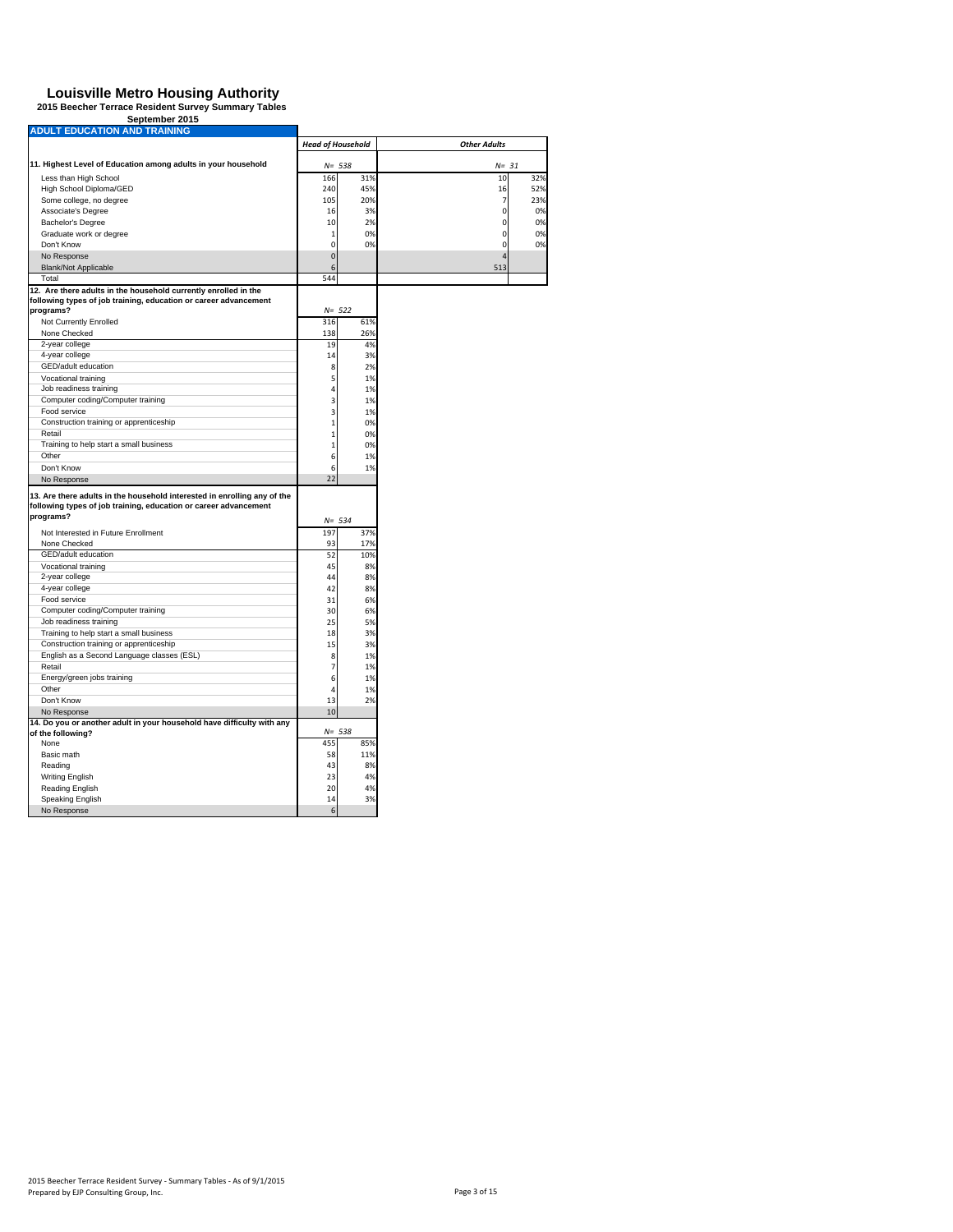| September 2015                                                                              |                          |           |                     |     |
|---------------------------------------------------------------------------------------------|--------------------------|-----------|---------------------|-----|
| <b>ADULT EDUCATION AND TRAINING</b>                                                         |                          |           |                     |     |
|                                                                                             | <b>Head of Household</b> |           | <b>Other Adults</b> |     |
|                                                                                             |                          |           |                     |     |
| 11. Highest Level of Education among adults in your household                               |                          | $N = 538$ | $N = 31$            |     |
| Less than High School                                                                       | 166                      | 31%       | 10                  | 32% |
| High School Diploma/GED                                                                     | 240                      | 45%       | 16                  | 52% |
| Some college, no degree                                                                     | 105                      | 20%       | 7                   | 23% |
| Associate's Degree                                                                          | 16                       | 3%        | 0                   | 0%  |
| Bachelor's Degree                                                                           | 10                       | 2%        | 0                   | 0%  |
| Graduate work or degree                                                                     | $\mathbf{1}$             | 0%        | 0                   | 0%  |
| Don't Know                                                                                  | $\mathbf 0$              | 0%        | $\mathbf 0$         | 0%  |
| No Response                                                                                 | $\overline{0}$           |           | $\overline{4}$      |     |
| Blank/Not Applicable                                                                        | 6                        |           | 513                 |     |
| Total                                                                                       | 544                      |           |                     |     |
| 12. Are there adults in the household currently enrolled in the                             |                          |           |                     |     |
| following types of job training, education or career advancement                            |                          | $N = 522$ |                     |     |
| programs?                                                                                   | 316                      | 61%       |                     |     |
| Not Currently Enrolled                                                                      | 138                      |           |                     |     |
| None Checked                                                                                | 19                       | 26%       |                     |     |
| 2-year college                                                                              |                          | 4%        |                     |     |
| 4-year college                                                                              | 14                       | 3%        |                     |     |
| GED/adult education                                                                         | 8                        | 2%        |                     |     |
| Vocational training                                                                         | 5                        | 1%        |                     |     |
| Job readiness training                                                                      | 4                        | 1%        |                     |     |
| Computer coding/Computer training                                                           | 3                        | 1%        |                     |     |
| Food service                                                                                | 3                        | 1%        |                     |     |
| Construction training or apprenticeship                                                     | $\overline{1}$           | 0%        |                     |     |
| Retail                                                                                      | $\mathbf{1}$             | 0%        |                     |     |
| Training to help start a small business                                                     | $\mathbf{1}$             | 0%        |                     |     |
| Other                                                                                       | 6                        | 1%        |                     |     |
| Don't Know                                                                                  | 6                        | 1%        |                     |     |
| No Response                                                                                 | 22                       |           |                     |     |
| 13. Are there adults in the household interested in enrolling any of the                    |                          |           |                     |     |
| following types of job training, education or career advancement                            |                          |           |                     |     |
| programs?                                                                                   |                          | $N = 534$ |                     |     |
| Not Interested in Future Enrollment                                                         | 197                      | 37%       |                     |     |
| None Checked                                                                                | 93                       | 17%       |                     |     |
| GED/adult education                                                                         | 52                       | 10%       |                     |     |
| Vocational training                                                                         | 45                       | 8%        |                     |     |
| 2-year college                                                                              | 44                       | 8%        |                     |     |
| 4-year college                                                                              | 42                       | 8%        |                     |     |
| Food service                                                                                | 31                       | 6%        |                     |     |
| Computer coding/Computer training                                                           | 30                       | 6%        |                     |     |
| Job readiness training                                                                      | 25                       | 5%        |                     |     |
| Training to help start a small business                                                     | 18                       | 3%        |                     |     |
| Construction training or apprenticeship                                                     | 15                       | 3%        |                     |     |
| English as a Second Language classes (ESL)                                                  | 8                        | 1%        |                     |     |
| Retail                                                                                      | $\overline{7}$           |           |                     |     |
|                                                                                             |                          | 1%        |                     |     |
| Energy/green jobs training<br>Other                                                         | 6<br>$\overline{4}$      | 1%        |                     |     |
|                                                                                             |                          | 1%        |                     |     |
| Don't Know                                                                                  | 13                       | 2%        |                     |     |
| No Response                                                                                 | 10                       |           |                     |     |
| 14. Do you or another adult in your household have difficulty with any<br>of the following? |                          | $N = 538$ |                     |     |
| None                                                                                        | 455                      | 85%       |                     |     |
| Basic math                                                                                  | 58                       | 11%       |                     |     |
|                                                                                             |                          |           |                     |     |
| Reading                                                                                     | 43                       | 8%        |                     |     |
| <b>Writing English</b>                                                                      | 23                       | 4%        |                     |     |
| Reading English                                                                             | 20                       | 4%        |                     |     |
| Speaking English                                                                            | 14                       | 3%        |                     |     |
| No Response                                                                                 | 6                        |           |                     |     |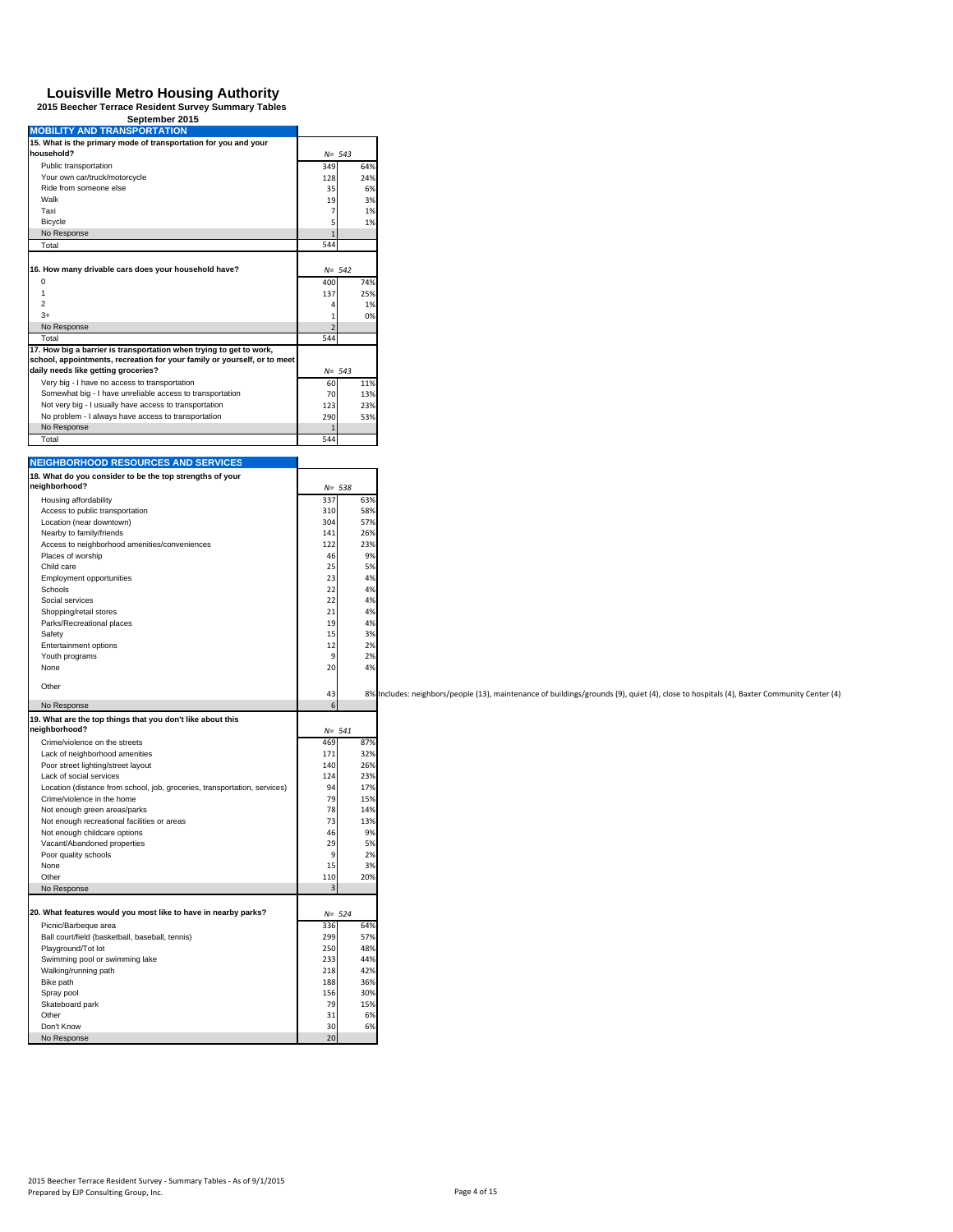| <b>MOBILITY AND TRANSPORTATION</b>                                        |                      |                                                                                                                                          |
|---------------------------------------------------------------------------|----------------------|------------------------------------------------------------------------------------------------------------------------------------------|
| 15. What is the primary mode of transportation for you and your           |                      |                                                                                                                                          |
| household?                                                                | $N = 543$            |                                                                                                                                          |
| Public transportation                                                     | 349<br>64%           |                                                                                                                                          |
| Your own car/truck/motorcycle                                             | 128<br>24%           |                                                                                                                                          |
| Ride from someone else                                                    | 35<br>6%             |                                                                                                                                          |
| Walk                                                                      | 19<br>3%             |                                                                                                                                          |
| Taxi                                                                      | $\overline{7}$<br>1% |                                                                                                                                          |
| Bicycle                                                                   | 1%<br>5              |                                                                                                                                          |
| No Response                                                               |                      |                                                                                                                                          |
| Total                                                                     | 544                  |                                                                                                                                          |
|                                                                           |                      |                                                                                                                                          |
| 16. How many drivable cars does your household have?                      | $N = 542$            |                                                                                                                                          |
| 0                                                                         | 400<br>74%           |                                                                                                                                          |
| $\mathbf{1}$                                                              |                      |                                                                                                                                          |
|                                                                           | 137<br>25%           |                                                                                                                                          |
| $\overline{c}$                                                            | 1%                   |                                                                                                                                          |
| $3+$                                                                      | 0%                   |                                                                                                                                          |
| No Response                                                               | 2                    |                                                                                                                                          |
| Total                                                                     | 544                  |                                                                                                                                          |
| 17. How big a barrier is transportation when trying to get to work,       |                      |                                                                                                                                          |
| school, appointments, recreation for your family or yourself, or to meet  |                      |                                                                                                                                          |
| daily needs like getting groceries?                                       | $N = 543$            |                                                                                                                                          |
| Very big - I have no access to transportation                             | 60<br>11%            |                                                                                                                                          |
| Somewhat big - I have unreliable access to transportation                 | 70<br>13%            |                                                                                                                                          |
| Not very big - I usually have access to transportation                    | 123<br>23%           |                                                                                                                                          |
| No problem - I always have access to transportation                       | 290<br>53%           |                                                                                                                                          |
| No Response                                                               |                      |                                                                                                                                          |
| Total                                                                     | 544                  |                                                                                                                                          |
|                                                                           |                      |                                                                                                                                          |
| <b>NEIGHBORHOOD RESOURCES AND SERVICES</b>                                |                      |                                                                                                                                          |
| 18. What do you consider to be the top strengths of your                  |                      |                                                                                                                                          |
| neighborhood?                                                             | $N = 538$            |                                                                                                                                          |
| Housing affordability                                                     | 337<br>63%           |                                                                                                                                          |
| Access to public transportation                                           | 58%                  |                                                                                                                                          |
|                                                                           | 310                  |                                                                                                                                          |
| Location (near downtown)                                                  | 304<br>57%           |                                                                                                                                          |
| Nearby to family/friends                                                  | 141<br>26%           |                                                                                                                                          |
| Access to neighborhood amenities/conveniences                             | 122<br>23%           |                                                                                                                                          |
| Places of worship                                                         | 46<br>9%             |                                                                                                                                          |
| Child care                                                                | 25<br>5%             |                                                                                                                                          |
| Employment opportunities                                                  | 23<br>4%             |                                                                                                                                          |
| Schools                                                                   | 22<br>4%             |                                                                                                                                          |
| Social services                                                           | 22<br>4%             |                                                                                                                                          |
| Shopping/retail stores                                                    | 21<br>4%             |                                                                                                                                          |
| Parks/Recreational places                                                 | 19<br>4%             |                                                                                                                                          |
| Safety                                                                    | 15<br>3%             |                                                                                                                                          |
| Entertainment options                                                     | 12<br>2%             |                                                                                                                                          |
| Youth programs                                                            | 9<br>2%              |                                                                                                                                          |
| None                                                                      | 20<br>4%             |                                                                                                                                          |
|                                                                           |                      |                                                                                                                                          |
| Other                                                                     |                      |                                                                                                                                          |
|                                                                           | 43                   | 8% Includes: neighbors/people (13), maintenance of buildings/grounds (9), quiet (4), close to hospitals (4), Baxter Community Center (4) |
| No Response                                                               | $\epsilon$           |                                                                                                                                          |
| 19. What are the top things that you don't like about this                |                      |                                                                                                                                          |
| neighborhood?                                                             | $N = 541$            |                                                                                                                                          |
| Crime/violence on the streets                                             | 469<br>87%           |                                                                                                                                          |
| Lack of neighborhood amenities                                            | 171<br>32%           |                                                                                                                                          |
| Poor street lighting/street layout                                        | 140<br>26%           |                                                                                                                                          |
| Lack of social services                                                   | 124<br>23%           |                                                                                                                                          |
| Location (distance from school, job, groceries, transportation, services) | 94<br>17%            |                                                                                                                                          |
| Crime/violence in the home                                                | 79<br>15%            |                                                                                                                                          |
| Not enough green areas/parks                                              | 78<br>14%            |                                                                                                                                          |
| Not enough recreational facilities or areas                               | 73<br>139            |                                                                                                                                          |
| Not enough childcare options                                              | 46<br>9%             |                                                                                                                                          |
| Vacant/Abandoned properties                                               | 29<br>5%             |                                                                                                                                          |
| Poor quality schools                                                      | 9<br>2%              |                                                                                                                                          |
| None                                                                      | 15<br>3%             |                                                                                                                                          |
| Other                                                                     | 110<br>20%           |                                                                                                                                          |
| No Response                                                               | 3                    |                                                                                                                                          |
|                                                                           |                      |                                                                                                                                          |
|                                                                           |                      |                                                                                                                                          |
| 20. What features would you most like to have in nearby parks?            | $N = 524$            |                                                                                                                                          |
| Picnic/Barbeque area                                                      | 336<br>64%           |                                                                                                                                          |
| Ball court/field (basketball, baseball, tennis)                           | 299<br>57%           |                                                                                                                                          |
| Playground/Tot lot                                                        | 250<br>48%           |                                                                                                                                          |
| Swimming pool or swimming lake                                            | 233<br>44%           |                                                                                                                                          |
| Walking/running path                                                      | 218<br>42%           |                                                                                                                                          |
| Bike path                                                                 | 188<br>36%           |                                                                                                                                          |
| Spray pool                                                                | 156<br>30%           |                                                                                                                                          |
| Skateboard park                                                           | 79<br>15%            |                                                                                                                                          |
| Other                                                                     | 31<br>6%             |                                                                                                                                          |
| Don't Know                                                                | 30<br>6%             |                                                                                                                                          |
| No Response                                                               | 20                   |                                                                                                                                          |
|                                                                           |                      |                                                                                                                                          |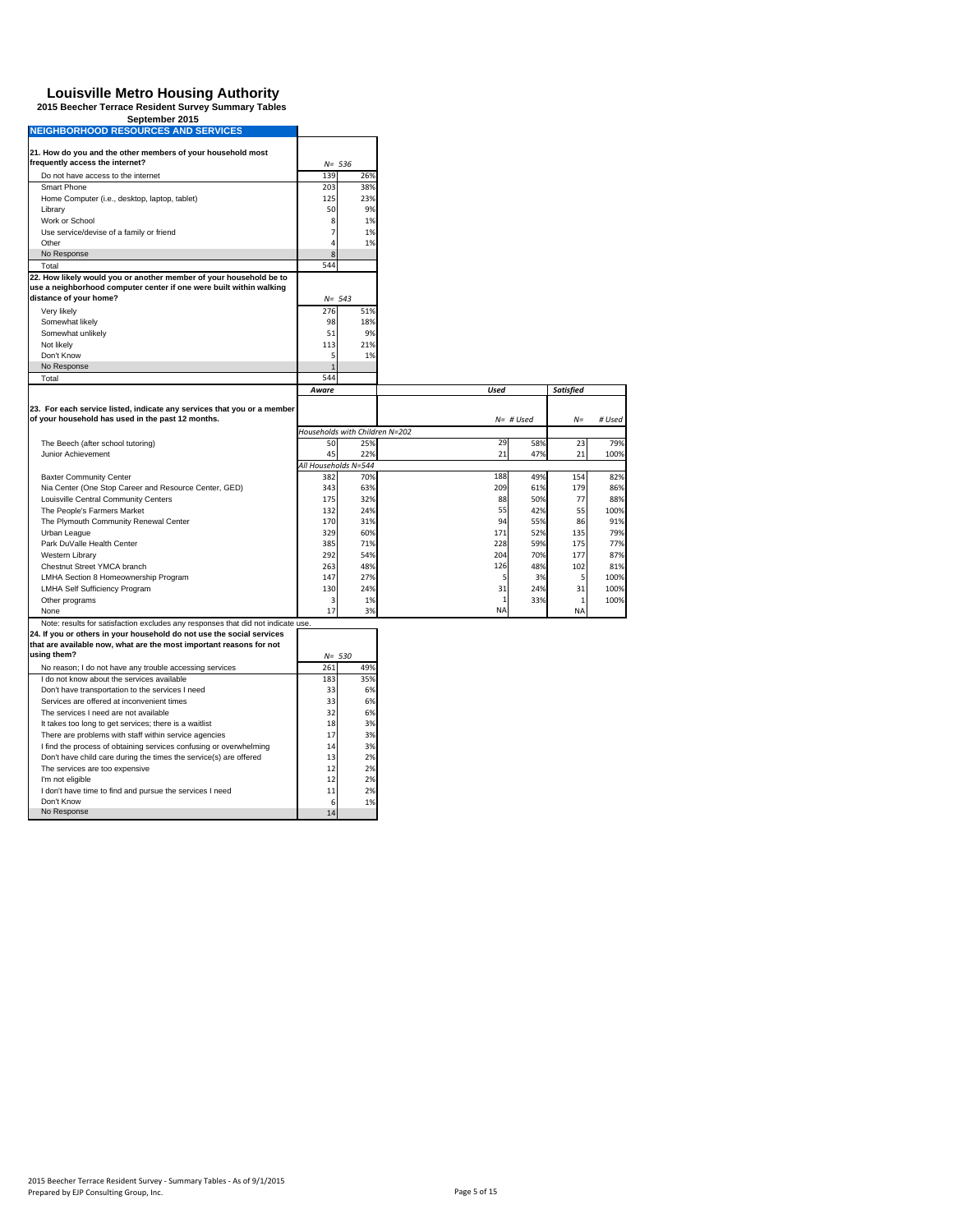# **Louisville Metro Housing Authority 2015 Beecher Terrace Resident Survey Summary Tables September 2015 NEIGHBORHOOD RESOURCES AND SERVICES**

| NEIGHBORHOOD RESOURCES AND SERVICES                                                           |              |                                |             |             |                  |            |
|-----------------------------------------------------------------------------------------------|--------------|--------------------------------|-------------|-------------|------------------|------------|
| 21. How do you and the other members of your household most                                   |              |                                |             |             |                  |            |
| frequently access the internet?                                                               |              | $N = 536$                      |             |             |                  |            |
| Do not have access to the internet                                                            | 139          | 26%                            |             |             |                  |            |
| Smart Phone                                                                                   | 203          | 38%                            |             |             |                  |            |
| Home Computer (i.e., desktop, laptop, tablet)                                                 | 125          | 23%                            |             |             |                  |            |
| Library                                                                                       | 50           | 9%                             |             |             |                  |            |
| Work or School                                                                                | 8            | 1%                             |             |             |                  |            |
| Use service/devise of a family or friend                                                      | 7            | 1%                             |             |             |                  |            |
| Other                                                                                         | 4            | 1%                             |             |             |                  |            |
| No Response                                                                                   | 8            |                                |             |             |                  |            |
| Total                                                                                         | 544          |                                |             |             |                  |            |
| 22. How likely would you or another member of your household be to                            |              |                                |             |             |                  |            |
| use a neighborhood computer center if one were built within walking<br>distance of your home? |              |                                |             |             |                  |            |
|                                                                                               |              | $N = 543$                      |             |             |                  |            |
| Very likely                                                                                   | 276          | 51%                            |             |             |                  |            |
| Somewhat likely                                                                               | 98           | 18%<br>9%                      |             |             |                  |            |
| Somewhat unlikely<br>Not likely                                                               | 51<br>113    | 21%                            |             |             |                  |            |
| Don't Know                                                                                    | 5            | 1%                             |             |             |                  |            |
| No Response                                                                                   | $\mathbf{1}$ |                                |             |             |                  |            |
| Total                                                                                         | 544          |                                |             |             |                  |            |
|                                                                                               | Aware        |                                | <b>Used</b> |             | <b>Satisfied</b> |            |
|                                                                                               |              |                                |             |             |                  |            |
| 23. For each service listed, indicate any services that you or a member                       |              |                                |             |             |                  |            |
| of your household has used in the past 12 months.                                             |              |                                |             | $N=$ # Used | $N =$            | # Used     |
|                                                                                               |              | Households with Children N=202 |             |             |                  |            |
| The Beech (after school tutoring)                                                             | 50           | 25%                            | 29          | 58%         | 23               | 79%        |
| Junior Achievement                                                                            | 45           | 22%                            | 21          | 47%         | 21               | 100%       |
|                                                                                               |              | All Households N=544           |             |             |                  |            |
| <b>Baxter Community Center</b>                                                                | 382          | 70%                            | 188         | 49%         | 154              | 82%        |
| Nia Center (One Stop Career and Resource Center, GED)                                         | 343          | 63%                            | 209         | 61%         | 179              | 86%        |
| Louisville Central Community Centers                                                          | 175          | 32%                            | 88          | 50%         | 77               | 88%        |
| The People's Farmers Market                                                                   | 132          | 24%                            | 55          | 42%         | 55<br>86         | 100%       |
| The Plymouth Community Renewal Center<br>Urban League                                         | 170<br>329   | 31%<br>60%                     | 94<br>171   | 55%<br>52%  | 135              | 91%<br>79% |
| Park DuValle Health Center                                                                    | 385          | 71%                            | 228         | 59%         | 175              | 77%        |
| Western Library                                                                               | 292          | 54%                            | 204         | 70%         | 177              | 87%        |
| Chestnut Street YMCA branch                                                                   | 263          | 48%                            | 126         | 48%         | 102              | 81%        |
| LMHA Section 8 Homeownership Program                                                          | 147          | 27%                            | 5           | 3%          | 5                | 100%       |
| <b>LMHA Self Sufficiency Program</b>                                                          | 130          | 24%                            | 31          | 24%         | 31               | 100%       |
| Other programs                                                                                | 3            | 1%                             |             | 33%         | $\mathbf{1}$     | 100%       |
| None                                                                                          | 17           | 3%                             | NA          |             | NA               |            |
| Note: results for satisfaction excludes any responses that did not indicate use.              |              |                                |             |             |                  |            |
| 24. If you or others in your household do not use the social services                         |              |                                |             |             |                  |            |
| that are available now, what are the most important reasons for not                           |              |                                |             |             |                  |            |
| using them?                                                                                   |              | $N = 530$                      |             |             |                  |            |
| No reason; I do not have any trouble accessing services                                       | 261          | 49%                            |             |             |                  |            |
| I do not know about the services available                                                    | 183          | 35%                            |             |             |                  |            |
| Don't have transportation to the services I need                                              | 33           | 6%                             |             |             |                  |            |
| Services are offered at inconvenient times                                                    | 33           | 6%                             |             |             |                  |            |
| The services I need are not available                                                         | 32           | 6%                             |             |             |                  |            |
| It takes too long to get services; there is a waitlist                                        | 18           | 3%                             |             |             |                  |            |
| There are problems with staff within service agencies                                         | 17           | 3%                             |             |             |                  |            |
| I find the process of obtaining services confusing or overwhelming                            | 14           | 3%                             |             |             |                  |            |
| Don't have child care during the times the service(s) are offered                             | 13           | 2%                             |             |             |                  |            |
| The services are too expensive                                                                | 12           | 2%                             |             |             |                  |            |
| I'm not eligible                                                                              | 12           | 2%<br>2%                       |             |             |                  |            |
| I don't have time to find and pursue the services I need<br>Don't Know                        | 11<br>6      | 1%                             |             |             |                  |            |
| No Response                                                                                   | 14           |                                |             |             |                  |            |
|                                                                                               |              |                                |             |             |                  |            |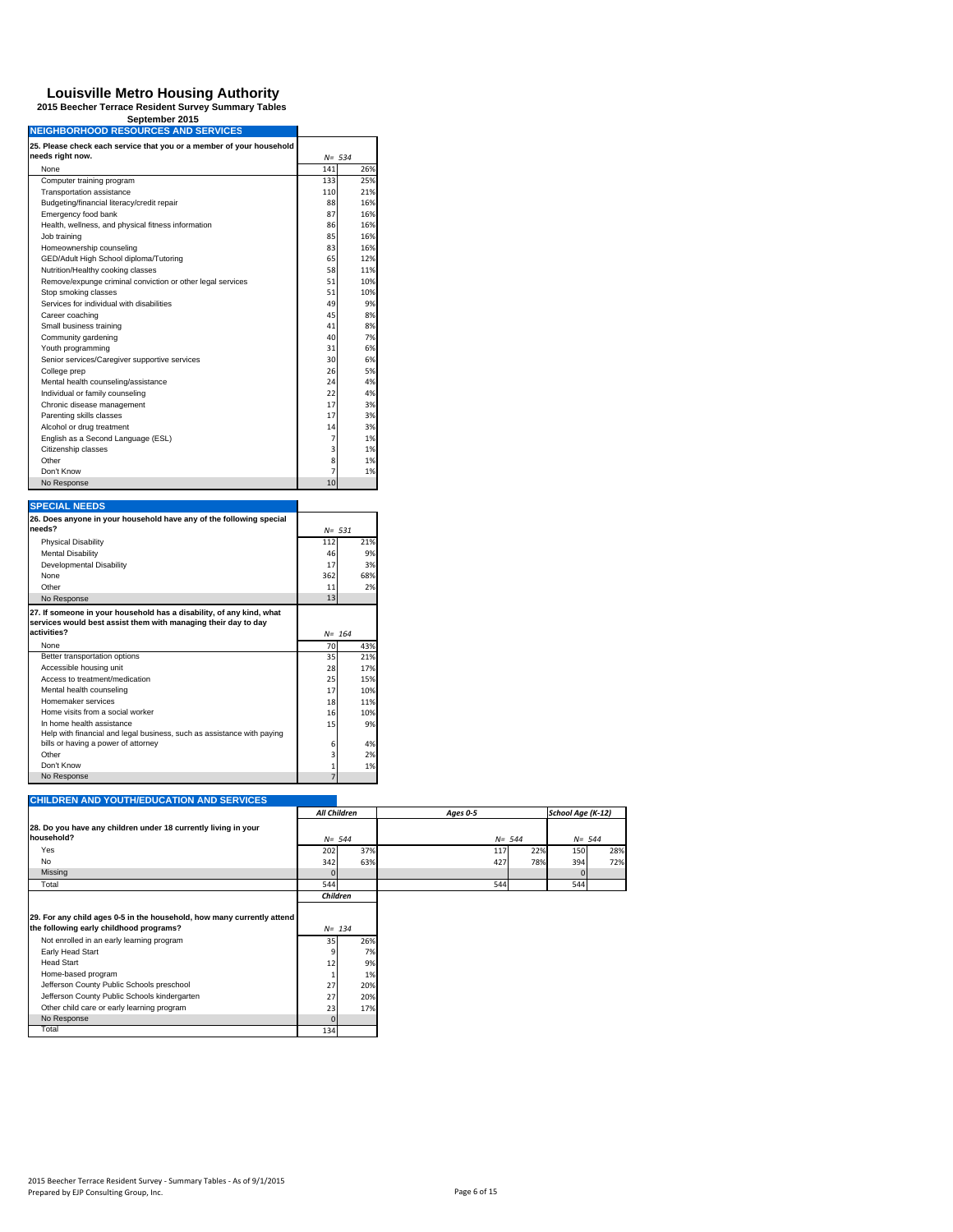# **Louisville Metro Housing Authority 2015 Beecher Terrace Resident Survey Summary Tables September 2015 NEIGHBORHOOD RESOURCES AND SERVICES**

| needs right now.                                           |                | $N = 534$ |
|------------------------------------------------------------|----------------|-----------|
| None                                                       | 141            | 26%       |
| Computer training program                                  | 133            | 25%       |
| Transportation assistance                                  | 110            | 21%       |
| Budgeting/financial literacy/credit repair                 | 88             | 16%       |
| Emergency food bank                                        | 87             | 16%       |
| Health, wellness, and physical fitness information         | 86             | 16%       |
| Job training                                               | 85             | 16%       |
| Homeownership counseling                                   | 83             | 16%       |
| GED/Adult High School diploma/Tutoring                     | 65             | 12%       |
| Nutrition/Healthy cooking classes                          | 58             | 11%       |
| Remove/expunge criminal conviction or other legal services | 51             | 10%       |
| Stop smoking classes                                       | 51             | 10%       |
| Services for individual with disabilities                  | 49             | 9%        |
| Career coaching                                            | 45             | 8%        |
| Small business training                                    | 41             | 8%        |
| Community gardening                                        | 40             | 7%        |
| Youth programming                                          | 31             | 6%        |
| Senior services/Caregiver supportive services              | 30             | 6%        |
| College prep                                               | 26             | 5%        |
| Mental health counseling/assistance                        | 24             | 4%        |
| Individual or family counseling                            | 22             | 4%        |
| Chronic disease management                                 | 17             | 3%        |
| Parenting skills classes                                   | 17             | 3%        |
| Alcohol or drug treatment                                  | 14             | 3%        |
| English as a Second Language (ESL)                         | $\overline{7}$ | 1%        |
| Citizenship classes                                        | 3              | 1%        |
| Other                                                      | 8              | 1%        |
| Don't Know                                                 | 7              | 1%        |
| No Response                                                | 10             |           |

| <b>SPECIAL NEEDS</b>                                                   |                |           |
|------------------------------------------------------------------------|----------------|-----------|
| 26. Does anyone in your household have any of the following special    |                |           |
| needs?                                                                 |                | $N = 531$ |
| <b>Physical Disability</b>                                             | 112            | 21%       |
| <b>Mental Disability</b>                                               | 46             | 9%        |
| Developmental Disability                                               | 17             | 3%        |
| None                                                                   | 362            | 68%       |
| Other                                                                  | 11             | 2%        |
| No Response                                                            | 13             |           |
| 27. If someone in your household has a disability, of any kind, what   |                |           |
| services would best assist them with managing their day to day         |                |           |
| activities?                                                            |                | $N = 164$ |
| None                                                                   | 70             | 43%       |
| Better transportation options                                          | 35             | 21%       |
| Accessible housing unit                                                | 28             | 17%       |
| Access to treatment/medication                                         | 25             | 15%       |
| Mental health counseling                                               | 17             | 10%       |
| Homemaker services                                                     | 18             | 11%       |
| Home visits from a social worker                                       | 16             | 10%       |
| In home health assistance                                              | 15             | 9%        |
| Help with financial and legal business, such as assistance with paying |                |           |
| bills or having a power of attorney                                    | 6              | 4%        |
| Other                                                                  | 3              | 2%        |
| Don't Know                                                             | $\mathbf{1}$   | 1%        |
| No Response                                                            | $\overline{7}$ |           |

#### **CHILDREN AND YOUTH/EDUCATION AND SERVICES**

|                                                                              | All Children |           |     | Ages 0-5  |     | School Age (K-12) |     |
|------------------------------------------------------------------------------|--------------|-----------|-----|-----------|-----|-------------------|-----|
| 28. Do you have any children under 18 currently living in your<br>household? |              | $N = 544$ |     | $N = 544$ |     | $N = 544$         |     |
| Yes                                                                          | 202          |           | 37% | 117       | 22% | 150               | 28% |
| No                                                                           | 342          |           | 63% | 427       | 78% | 394               | 72% |
| Missing                                                                      |              |           |     |           |     |                   |     |
| Total                                                                        | 544          |           |     | 544       |     | 544               |     |
|                                                                              | Children     |           |     |           |     |                   |     |
| 29. For any child ages 0-5 in the household, how many currently attend       |              |           |     |           |     |                   |     |

| 29. For any child ages 0-5 in the household, how many currently attend |  |
|------------------------------------------------------------------------|--|
|                                                                        |  |

| the following early childhood programs?      |     | $N = 134$ |  |
|----------------------------------------------|-----|-----------|--|
| Not enrolled in an early learning program    | 35  | 26%       |  |
| Early Head Start                             |     | 7%        |  |
| <b>Head Start</b>                            | 12  | 9%        |  |
| Home-based program                           |     | 1%        |  |
| Jefferson County Public Schools preschool    | 27  | 20%       |  |
| Jefferson County Public Schools kindergarten | 27  | 20%       |  |
| Other child care or early learning program   | 23  | 17%       |  |
| No Response                                  |     |           |  |
| Total                                        | 134 |           |  |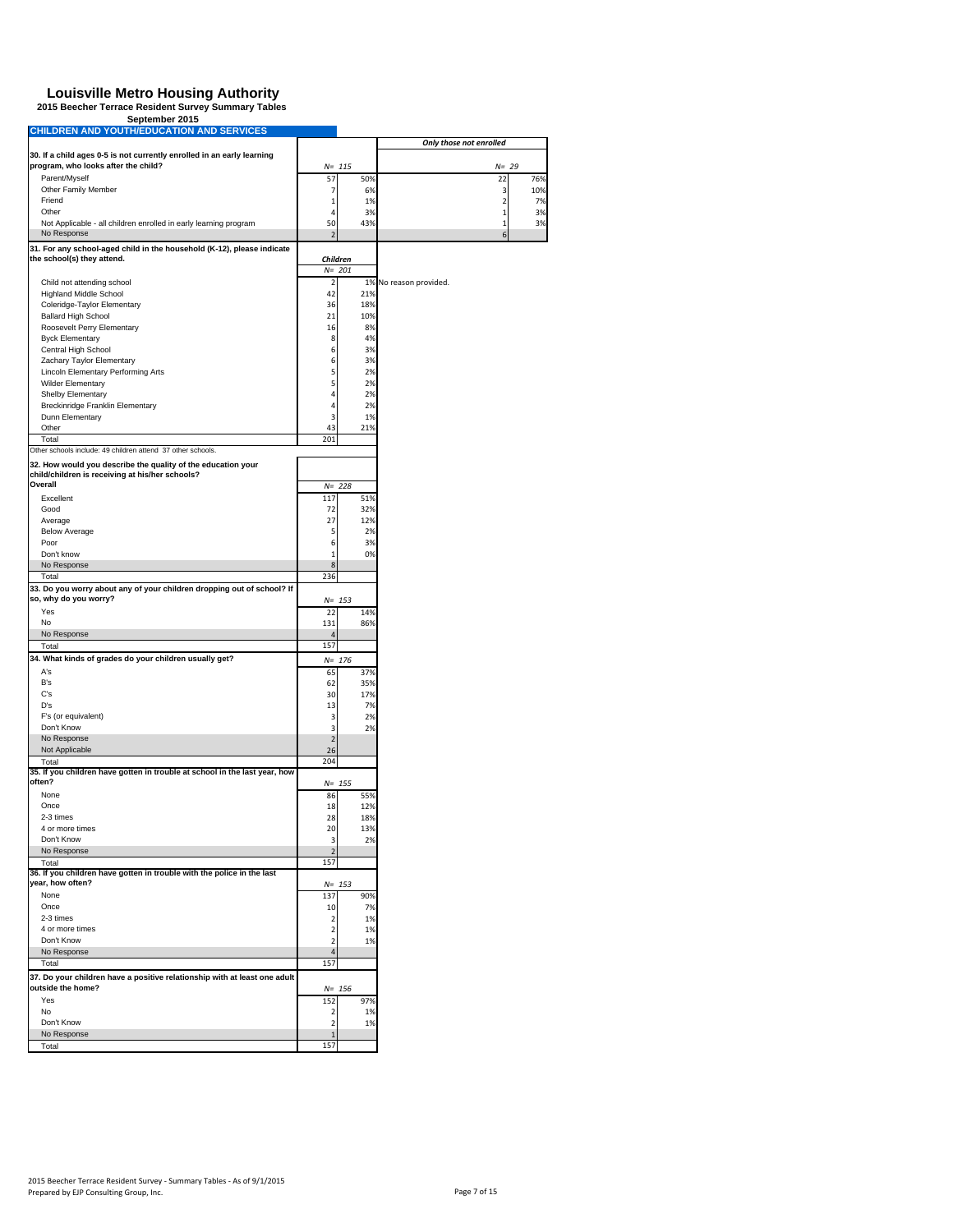# **Louisville Metro Housing Authority 2015 Beecher Terrace Resident Survey Summary Tables September 2015 CHILDREN AND YOUTH/EDUCATION AND SERVICES**

| CHILDREN AND YOUTH/EDUCATION AND SERVICES                                                                     |                                |            | Only those not enrolled |                   |  |
|---------------------------------------------------------------------------------------------------------------|--------------------------------|------------|-------------------------|-------------------|--|
| 30. If a child ages 0-5 is not currently enrolled in an early learning<br>program, who looks after the child? |                                | $N = 115$  |                         | $N = 29$          |  |
| Parent/Myself                                                                                                 | 57                             | 50%        | 22                      | 76%               |  |
| Other Family Member                                                                                           | 7                              | 6%         |                         | 3<br>10%          |  |
| Friend                                                                                                        | 1                              | 1%         |                         | 2<br>7%           |  |
| Other                                                                                                         | 4                              | 3%         |                         | $\mathbf 1$<br>3% |  |
| Not Applicable - all children enrolled in early learning program<br>No Response                               | 50<br>$\overline{\phantom{a}}$ | 43%        | 1                       | 3%<br>6           |  |
| 31. For any school-aged child in the household (K-12), please indicate                                        |                                |            |                         |                   |  |
| the school(s) they attend.                                                                                    |                                | Children   |                         |                   |  |
|                                                                                                               |                                | $N = 201$  |                         |                   |  |
| Child not attending school<br><b>Highland Middle School</b>                                                   | $\overline{\mathbf{2}}$<br>42  | 21%        | 1% No reason provided.  |                   |  |
| Coleridge-Taylor Elementary                                                                                   | 36                             | 18%        |                         |                   |  |
| <b>Ballard High School</b>                                                                                    | 21                             | 10%        |                         |                   |  |
| Roosevelt Perry Elementary                                                                                    | 16                             | 8%         |                         |                   |  |
| <b>Byck Elementary</b>                                                                                        | 8                              | 4%         |                         |                   |  |
| Central High School                                                                                           | 6                              | 3%         |                         |                   |  |
| Zachary Taylor Elementary<br>Lincoln Elementary Performing Arts                                               | 6<br>5                         | 3%<br>2%   |                         |                   |  |
| <b>Wilder Elementary</b>                                                                                      | 5                              | 2%         |                         |                   |  |
| Shelby Elementary                                                                                             | 4                              | 2%         |                         |                   |  |
| Breckinridge Franklin Elementary                                                                              | $\overline{4}$                 | 2%         |                         |                   |  |
| Dunn Elementary                                                                                               | 3                              | 1%         |                         |                   |  |
| Other                                                                                                         | 43                             | 21%        |                         |                   |  |
| Total<br>Other schools include: 49 children attend 37 other schools.                                          | 201                            |            |                         |                   |  |
| 32. How would you describe the quality of the education your                                                  |                                |            |                         |                   |  |
| child/children is receiving at his/her schools?                                                               |                                |            |                         |                   |  |
| Overall                                                                                                       | $N =$                          | 228        |                         |                   |  |
| Excellent                                                                                                     | 117                            | 51%        |                         |                   |  |
| Good<br>Average                                                                                               | 72<br>27                       | 32%<br>12% |                         |                   |  |
| <b>Below Average</b>                                                                                          | 5                              | 2%         |                         |                   |  |
| Poor                                                                                                          | 6                              | 3%         |                         |                   |  |
| Don't know                                                                                                    | $\mathbf{1}$                   | 0%         |                         |                   |  |
| No Response                                                                                                   | 8                              |            |                         |                   |  |
| Total                                                                                                         | 236                            |            |                         |                   |  |
| 33. Do you worry about any of your children dropping out of school? If<br>so, why do you worry?               |                                | $N = 153$  |                         |                   |  |
| Yes                                                                                                           | 22                             | 14%        |                         |                   |  |
| No                                                                                                            | 131                            | 86%        |                         |                   |  |
| No Response                                                                                                   | $\overline{4}$                 |            |                         |                   |  |
| Total                                                                                                         | 157                            |            |                         |                   |  |
| 34. What kinds of grades do your children usually get?                                                        |                                | $N = 176$  |                         |                   |  |
| A's<br>B's                                                                                                    | 65                             | 37%        |                         |                   |  |
| C's                                                                                                           | 62<br>30                       | 35%<br>17% |                         |                   |  |
| D's                                                                                                           | 13                             | 7%         |                         |                   |  |
| F's (or equivalent)                                                                                           | 3                              | 2%         |                         |                   |  |
| Don't Know                                                                                                    | 3                              | 2%         |                         |                   |  |
| No Response                                                                                                   | $\overline{2}$                 |            |                         |                   |  |
| Not Applicable                                                                                                | 26                             |            |                         |                   |  |
| Total<br>35. If you children have gotten in trouble at school in the last year, how                           | 204                            |            |                         |                   |  |
| often?                                                                                                        |                                | $N = 155$  |                         |                   |  |
| None                                                                                                          | 86                             | 55%        |                         |                   |  |
| Once                                                                                                          | 18                             | 12%        |                         |                   |  |
| 2-3 times                                                                                                     | 28                             | 18%        |                         |                   |  |
| 4 or more times<br>Don't Know                                                                                 | 20<br>3                        | 13%<br>2%  |                         |                   |  |
| No Response                                                                                                   | $\overline{2}$                 |            |                         |                   |  |
| Total                                                                                                         | 157                            |            |                         |                   |  |
| 36. If you children have gotten in trouble with the police in the last                                        |                                |            |                         |                   |  |
| year, how often?<br>None                                                                                      |                                | $N = 153$  |                         |                   |  |
| Once                                                                                                          | 137<br>10                      | 90%<br>7%  |                         |                   |  |
| 2-3 times                                                                                                     | $\overline{\mathbf{2}}$        | 1%         |                         |                   |  |
| 4 or more times                                                                                               | $\overline{2}$                 | 1%         |                         |                   |  |
| Don't Know                                                                                                    | $\overline{2}$                 | 1%         |                         |                   |  |
| No Response                                                                                                   | $\overline{4}$                 |            |                         |                   |  |
| Total                                                                                                         | 157                            |            |                         |                   |  |
| 37. Do your children have a positive relationship with at least one adult<br>outside the home?                |                                | $N = 156$  |                         |                   |  |
| Yes                                                                                                           | 152                            | 97%        |                         |                   |  |
| No                                                                                                            | $\overline{2}$                 | 1%         |                         |                   |  |
| Don't Know                                                                                                    | $\overline{2}$                 | 1%         |                         |                   |  |
| No Response                                                                                                   | $\mathbf{1}$                   |            |                         |                   |  |
| Total                                                                                                         | 157                            |            |                         |                   |  |
|                                                                                                               |                                |            |                         |                   |  |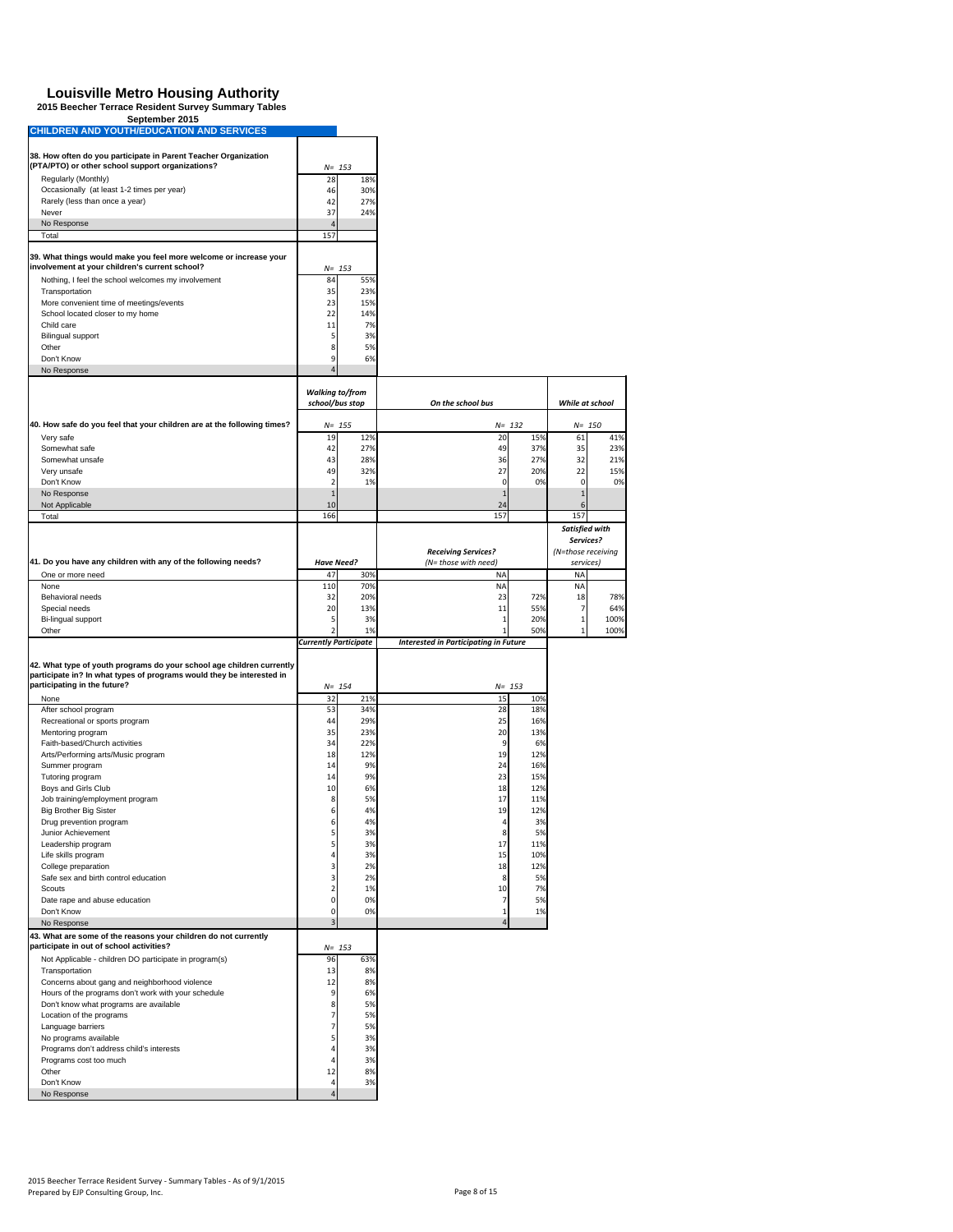## **Louisville Metro Housing Authority 2015 Beecher Terrace Resident Survey Summary Tables September 2015 CHILDREN AND YOUTH/EDUCATION AND SERVICES**

| <b>CHILDREN AND YOUTH/EDUCATION AND SERVICES</b>                                                                    |                              |                  |                                              |                        |      |
|---------------------------------------------------------------------------------------------------------------------|------------------------------|------------------|----------------------------------------------|------------------------|------|
| 38. How often do you participate in Parent Teacher Organization                                                     |                              |                  |                                              |                        |      |
| (PTA/PTO) or other school support organizations?                                                                    |                              | $N = 153$        |                                              |                        |      |
| Regularly (Monthly)                                                                                                 | 28                           | 18%              |                                              |                        |      |
| Occasionally (at least 1-2 times per year)                                                                          | 46                           | 30%              |                                              |                        |      |
| Rarely (less than once a year)<br>Never                                                                             | 42<br>37                     | 27%              |                                              |                        |      |
| No Response                                                                                                         | $\Delta$                     | 24%              |                                              |                        |      |
| Total                                                                                                               | 157                          |                  |                                              |                        |      |
|                                                                                                                     |                              |                  |                                              |                        |      |
| 39. What things would make you feel more welcome or increase your<br>involvement at your children's current school? |                              | $N = 153$        |                                              |                        |      |
| Nothing, I feel the school welcomes my involvement                                                                  | 84                           | 55%              |                                              |                        |      |
| Transportation                                                                                                      | 35                           | 23%              |                                              |                        |      |
| More convenient time of meetings/events                                                                             | 23                           | 15%              |                                              |                        |      |
| School located closer to my home                                                                                    | 22                           | 14%              |                                              |                        |      |
| Child care                                                                                                          | 11                           | 7%               |                                              |                        |      |
| <b>Bilingual support</b><br>Other                                                                                   | 5<br>8                       | 3%<br>5%         |                                              |                        |      |
| Don't Know                                                                                                          | 9                            | 6%               |                                              |                        |      |
| No Response                                                                                                         | $\overline{4}$               |                  |                                              |                        |      |
|                                                                                                                     | <b>Walking to/from</b>       |                  |                                              |                        |      |
|                                                                                                                     | school/bus stop              |                  | On the school bus                            | While at school        |      |
|                                                                                                                     |                              |                  |                                              |                        |      |
| 40. How safe do you feel that your children are at the following times?<br>Very safe                                | 19                           | $N = 155$<br>12% | $N = 132$<br>20<br>15%                       | $N = 150$<br>61        | 41%  |
| Somewhat safe                                                                                                       | 42                           | 27%              | 49<br>37%                                    | 35                     | 23%  |
| Somewhat unsafe                                                                                                     | 43                           | 28%              | 36<br>27%                                    | 32                     | 21%  |
| Very unsafe                                                                                                         | 49                           | 32%              | 27<br>20%                                    | 22                     | 15%  |
| Don't Know                                                                                                          | $\overline{2}$               | 1%               | 0<br>0%                                      | 0                      | 0%   |
| No Response                                                                                                         | $1\,$                        |                  |                                              | $\mathbf{1}$           |      |
| Not Applicable<br>Total                                                                                             | 10<br>166                    |                  | 24<br>157                                    | 6<br>157               |      |
|                                                                                                                     |                              |                  |                                              | Satisfied with         |      |
|                                                                                                                     |                              |                  |                                              | Services?              |      |
|                                                                                                                     |                              |                  | <b>Receiving Services?</b>                   | (N=those receiving     |      |
| 41. Do you have any children with any of the following needs?                                                       | <b>Have Need?</b>            |                  | (N= those with need)                         | services)              |      |
| One or more need<br>None                                                                                            | 47<br>110                    | 30%<br>70%       | <b>NA</b><br><b>NA</b>                       | <b>NA</b><br><b>NA</b> |      |
| Behavioral needs                                                                                                    | 32                           | 20%              | 23<br>72%                                    | 18                     | 78%  |
| Special needs                                                                                                       | 20                           | 13%              | 11<br>55%                                    | $\overline{7}$         | 64%  |
| Bi-lingual support                                                                                                  | 5                            | 3%               | 20%<br>1                                     | $\,1$                  | 100% |
| Other                                                                                                               | $\overline{2}$               | 1%               | 50%                                          | 1                      | 100% |
|                                                                                                                     | <b>Currently Participate</b> |                  | <b>Interested in Participating in Future</b> |                        |      |
| 42. What type of youth programs do your school age children currently                                               |                              |                  |                                              |                        |      |
| participate in? In what types of programs would they be interested in<br>participating in the future?               |                              | $N = 154$        | $N = 153$                                    |                        |      |
| None                                                                                                                | 32                           | 21%              | 15<br>10%                                    |                        |      |
| After school program                                                                                                | 53                           | 34%              | 28<br>18%                                    |                        |      |
| Recreational or sports program                                                                                      | 44                           | 29%              | 25<br>16%                                    |                        |      |
| Mentoring program                                                                                                   | 35                           | 23%              | 20<br>13%                                    |                        |      |
| Faith-based/Church activities                                                                                       | 34                           | 22%              | 6%<br>9                                      |                        |      |
| Arts/Performing arts/Music program<br>Summer program                                                                | 18<br>14                     | 12%<br>9%        | 19<br>12%<br>16%<br>24                       |                        |      |
| Tutoring program                                                                                                    | 14                           | 9%               | 23<br>15%                                    |                        |      |
| Boys and Girls Club                                                                                                 | 10                           | 6%               | 18<br>12%                                    |                        |      |
| Job training/employment program                                                                                     | 8                            | 5%               | 11%<br>17                                    |                        |      |
| <b>Big Brother Big Sister</b>                                                                                       | 6                            | 4%               | 19<br>12%                                    |                        |      |
| Drug prevention program                                                                                             | 6                            | 4%               | 4<br>3%                                      |                        |      |
| Junior Achievement<br>Leadership program                                                                            | 5<br>5                       | 3%<br>3%         | $\bf 8$<br>5%<br>17<br>11%                   |                        |      |
| Life skills program                                                                                                 | 4                            | 3%               | 15<br>10%                                    |                        |      |
| College preparation                                                                                                 | 3                            | 2%               | 18<br>12%                                    |                        |      |
| Safe sex and birth control education                                                                                | 3                            | 2%               | 8<br>5%                                      |                        |      |
| Scouts                                                                                                              | $\overline{\mathbf{c}}$      | 1%               | 10<br>7%                                     |                        |      |
| Date rape and abuse education                                                                                       | 0                            | 0%               | 5%<br>7                                      |                        |      |
| Don't Know<br>No Response                                                                                           | 0<br>3                       | 0%               | 1%<br>$\Delta$                               |                        |      |
| 43. What are some of the reasons your children do not currently                                                     |                              |                  |                                              |                        |      |
| participate in out of school activities?                                                                            |                              | $N = 153$        |                                              |                        |      |
| Not Applicable - children DO participate in program(s)                                                              | 96                           | 63%              |                                              |                        |      |
| Transportation                                                                                                      | 13                           | 8%               |                                              |                        |      |
| Concerns about gang and neighborhood violence                                                                       | 12                           | 8%               |                                              |                        |      |
| Hours of the programs don't work with your schedule<br>Don't know what programs are available                       | 9<br>8                       | 6%<br>5%         |                                              |                        |      |
| Location of the programs                                                                                            | 7                            | 5%               |                                              |                        |      |
| Language barriers                                                                                                   | 7                            | 5%               |                                              |                        |      |
| No programs available                                                                                               | 5                            | 3%               |                                              |                        |      |
| Programs don't address child's interests                                                                            | $\overline{4}$               | 3%               |                                              |                        |      |
| Programs cost too much                                                                                              | 4                            | 3%               |                                              |                        |      |
| Other                                                                                                               | 12                           | 8%               |                                              |                        |      |
| Don't Know                                                                                                          | 4                            | 3%               |                                              |                        |      |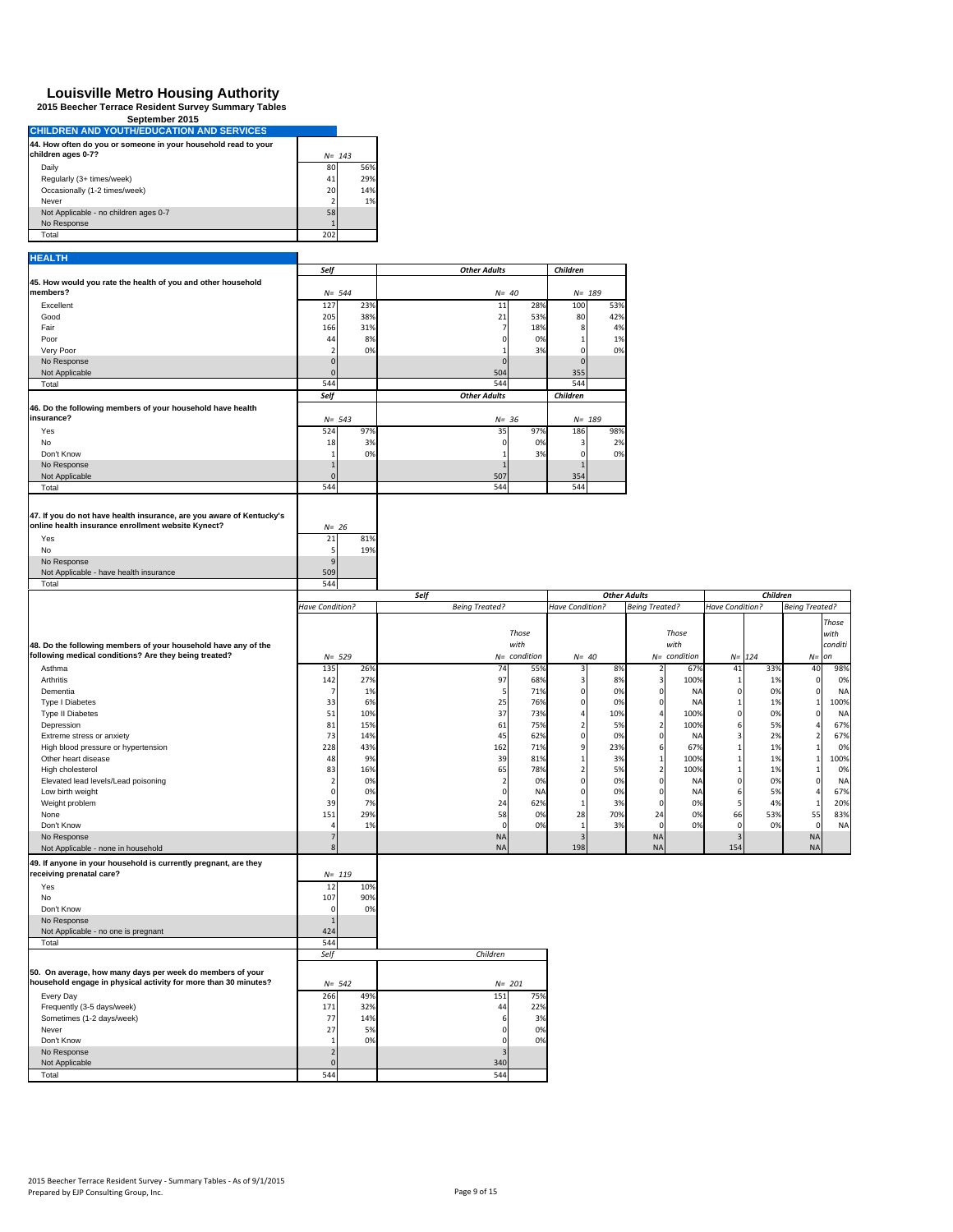| <u>,,,,,,,,,,,,,,,,,</u>                                                             |     |           |
|--------------------------------------------------------------------------------------|-----|-----------|
| <b>CHILDREN AND YOUTH/EDUCATION AND SERVICES</b>                                     |     |           |
| 44. How often do you or someone in your household read to your<br>children ages 0-7? |     | $N = 143$ |
| Daily                                                                                | 80  | 56%       |
| Regularly (3+ times/week)                                                            | 41  | 29%       |
| Occasionally (1-2 times/week)                                                        | 20  | 14%       |
| Never                                                                                |     | 1%        |
| Not Applicable - no children ages 0-7                                                | 58  |           |
| No Response                                                                          |     |           |
| Total                                                                                | 202 |           |
|                                                                                      |     |           |
| <b>HEALTH</b>                                                                        |     |           |

|                                                                      | Self               |           | <b>Other Adults</b>   |                | Children                      |                          |                 |                                 |
|----------------------------------------------------------------------|--------------------|-----------|-----------------------|----------------|-------------------------------|--------------------------|-----------------|---------------------------------|
| 45. How would you rate the health of you and other household         |                    |           |                       |                |                               |                          |                 |                                 |
| members?                                                             | $N = 544$          |           |                       | $N = 40$       | $N = 189$                     |                          |                 |                                 |
| Excellent                                                            | 127                | 23%       | 11                    | 289            | 100<br>53%                    |                          |                 |                                 |
| Good                                                                 | 205                | 38%       | 21                    | 53%            | 80<br>42%                     |                          |                 |                                 |
| Fair                                                                 | 166                | 31%       | $\overline{7}$        | 18%            | 4%<br>8                       |                          |                 |                                 |
| Poor                                                                 | 44                 | 8%        |                       | 0%             | 1%                            |                          |                 |                                 |
| Very Poor                                                            | ,                  | 0%        |                       | 3%             | 0%<br>$\Omega$                |                          |                 |                                 |
| No Response                                                          | $\Omega$           |           |                       |                | $\Omega$                      |                          |                 |                                 |
| Not Applicable                                                       |                    |           | 504                   |                | 355                           |                          |                 |                                 |
| Total                                                                | 544                |           | 544                   |                | 544                           |                          |                 |                                 |
|                                                                      | Self               |           | <b>Other Adults</b>   |                | Children                      |                          |                 |                                 |
| 46. Do the following members of your household have health           |                    |           |                       |                |                               |                          |                 |                                 |
| insurance?                                                           | $N = 543$          |           |                       | $N = 36$       | $N = 189$                     |                          |                 |                                 |
|                                                                      |                    |           |                       |                |                               |                          |                 |                                 |
| Yes<br>No                                                            | 524                | 97%<br>3% | 35<br>$\Omega$        | 97%<br>0%      | 186<br>98%<br>2%              |                          |                 |                                 |
| Don't Know                                                           | 18<br>$\mathbf{1}$ | 0%        |                       | 3%             | 3<br>$\mathbf 0$<br>0%        |                          |                 |                                 |
| No Response                                                          |                    |           |                       |                |                               |                          |                 |                                 |
| Not Applicable                                                       | $\Omega$           |           | 507                   |                | 354                           |                          |                 |                                 |
| Total                                                                | 544                |           | 544                   |                | 544                           |                          |                 |                                 |
|                                                                      |                    |           |                       |                |                               |                          |                 |                                 |
|                                                                      |                    |           |                       |                |                               |                          |                 |                                 |
| 47. If you do not have health insurance, are you aware of Kentucky's |                    |           |                       |                |                               |                          |                 |                                 |
| online health insurance enrollment website Kynect?                   | $N = 26$           |           |                       |                |                               |                          |                 |                                 |
| Yes                                                                  | 21                 | 819       |                       |                |                               |                          |                 |                                 |
| No                                                                   | 5                  | 19%       |                       |                |                               |                          |                 |                                 |
| No Response                                                          |                    |           |                       |                |                               |                          |                 |                                 |
| Not Applicable - have health insurance                               | 509                |           |                       |                |                               |                          |                 |                                 |
| Total                                                                | 544                |           |                       |                |                               |                          |                 |                                 |
|                                                                      |                    |           | Self                  |                |                               | <b>Other Adults</b>      |                 | Children                        |
|                                                                      | Have Condition?    |           | <b>Being Treated?</b> |                | Have Condition?               | <b>Being Treated?</b>    | Have Condition? | <b>Being Treated?</b>           |
|                                                                      |                    |           |                       |                |                               |                          |                 | <b>Those</b>                    |
|                                                                      |                    |           |                       | <b>Those</b>   |                               | Those                    |                 | with                            |
| 48. Do the following members of your household have any of the       |                    |           |                       | with           |                               | with                     |                 | conditi                         |
| following medical conditions? Are they being treated?                | $N = 529$          |           |                       | $N=$ condition | $N = 40$                      | $N=$ condition           | $N=$<br>124     | on<br>$N =$                     |
| Asthma                                                               | 135                | 26%       | 74                    | 55%            | 8%<br>3                       | 67%<br>2                 | 41              | 33%<br>98%<br>40                |
| Arthritis                                                            | 142                | 27%       | 97                    | 68%            | 3<br>8%                       | 100%<br>3                | -1              | 1%<br>0%<br>0                   |
| Dementia                                                             | 7                  | 1%        | 5                     | 71%            | $\pmb{0}$<br>0%               | 0<br>NΑ                  | $\mathbf 0$     | 0%<br><b>NA</b><br>0            |
| Type I Diabetes                                                      | 33                 | 6%        | 25                    | 76%            | $\mathbf 0$<br>0%             | 0<br>NA                  |                 | 1%<br>100%<br>$\mathbf{1}$      |
| Type II Diabetes                                                     | 51                 | 10%       | 37                    | 73%            | 10%<br>4                      | 100%<br>4                | $\Omega$        | 0%<br>$\mathbf 0$<br><b>NA</b>  |
| Depression                                                           | 81                 | 15%       | 61                    | 75%            | $\overline{\mathbf{2}}$<br>5% | $\overline{2}$<br>100%   | -6              | 5%<br>67%<br>4                  |
| Extreme stress or anxiety                                            | 73                 | 14%       | 45                    | 62%            | $\pmb{0}$<br>0%               | 0<br>NA                  | 3               | 2%<br>67%<br>$\overline{2}$     |
| High blood pressure or hypertension                                  | 228                | 43%       | 162                   | 71%            | 9<br>23%                      | 67%<br>6                 |                 | 1%<br>0%<br>$1\vert$            |
| Other heart disease                                                  | 48                 | 9%        | 39                    | 81%            | 3%<br>1                       | 100%<br>1                |                 | 1%<br>100%<br>$\mathbf{1}$      |
| High cholesterol                                                     | 83                 | 16%       | 65                    | 78%            | $\overline{\mathbf{2}}$<br>5% | 100%<br>$\overline{2}$   |                 | 1%<br>0%<br>$\mathbf 1$         |
| Elevated lead levels/Lead poisoning                                  |                    | 0%        | $\overline{2}$        | 0%             | $\mathbf 0$<br>0%             | $\overline{0}$<br>NΑ     | $\Omega$        | 0%<br>$\mathbf{0}$<br><b>NA</b> |
| Low birth weight                                                     |                    | 0%        | $\epsilon$            | NA             | $\pmb{0}$<br>0%               | $\mathbf 0$<br><b>NA</b> |                 | 5%<br>67%<br>4                  |
| Weight problem                                                       | 39                 | 7%        | 24                    | 62%            | 3%<br>$\mathbf{1}$            | 0%<br>0                  |                 | 4%<br>20%<br>$\mathbf{1}$       |
| None                                                                 | 151                | 29%       | 58                    | 0 <sup>9</sup> | 28<br>70%                     | 0%<br>24                 | 66              | 53%<br>55<br>83%                |
| Don't Know                                                           |                    | 1%        | $\Omega$              | 0%             | $\mathbf{1}$<br>3%            | $\overline{0}$<br>0%     | $\Omega$        | 0%<br><b>NA</b><br>$\Omega$     |
| No Response                                                          | 7                  |           | <b>NA</b>             |                | $\overline{3}$                | <b>NA</b>                |                 | <b>NA</b>                       |
| Not Applicable - none in household                                   | $\mathbf{8}$       |           | <b>NA</b>             |                | 198                           | <b>NA</b>                | 154             | <b>NA</b>                       |
| 49. If anyone in your household is currently pregnant, are they      |                    |           |                       |                |                               |                          |                 |                                 |
| receiving prenatal care?                                             |                    |           |                       |                |                               |                          |                 |                                 |
|                                                                      | $N = 119$          |           |                       |                |                               |                          |                 |                                 |
| Yes                                                                  | 12                 | 10%       |                       |                |                               |                          |                 |                                 |
| No                                                                   | 107                | 90%       |                       |                |                               |                          |                 |                                 |
| Don't Know                                                           |                    | 0%        |                       |                |                               |                          |                 |                                 |
| No Response                                                          |                    |           |                       |                |                               |                          |                 |                                 |
| Not Applicable - no one is pregnant<br>Total                         | 424<br>544         |           |                       |                |                               |                          |                 |                                 |
|                                                                      |                    |           |                       |                |                               |                          |                 |                                 |
|                                                                      | Self               |           | Children              |                |                               |                          |                 |                                 |
| 50. On average, how many days per week do members of your            |                    |           |                       |                |                               |                          |                 |                                 |
| household engage in physical activity for more than 30 minutes?      | $N = 542$          |           |                       | $N = 201$      |                               |                          |                 |                                 |
| Every Day                                                            | 266                | 49%       | 151                   | 75%            |                               |                          |                 |                                 |
| Frequently (3-5 days/week)                                           | 171                | 32%       | 44                    | 22%            |                               |                          |                 |                                 |
| Sometimes (1-2 days/week)                                            | 77                 | 14%       |                       | 3%             |                               |                          |                 |                                 |
| Never                                                                | 27                 | 5%        |                       | 0%             |                               |                          |                 |                                 |
| Don't Know                                                           | $\mathbf{1}$       | 0%        |                       | 0%             |                               |                          |                 |                                 |
| No Response                                                          | $\overline{2}$     |           |                       |                |                               |                          |                 |                                 |
| Not Applicable                                                       |                    |           | 340                   |                |                               |                          |                 |                                 |
| Total                                                                | 544                |           | 544                   |                |                               |                          |                 |                                 |
|                                                                      |                    |           |                       |                |                               |                          |                 |                                 |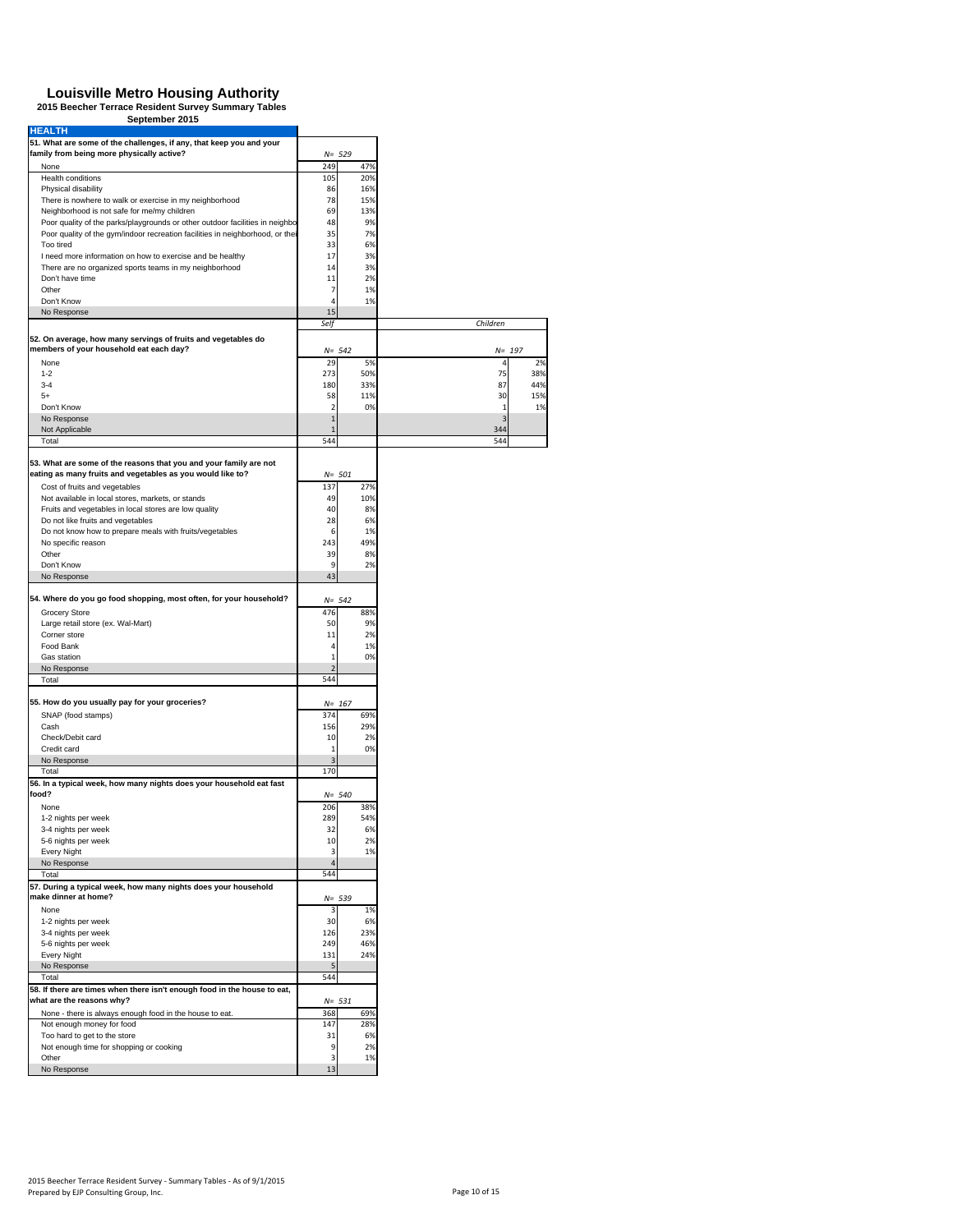| <b>HEALTH</b>                                                                                                                                                 |                                |                  |                |     |
|---------------------------------------------------------------------------------------------------------------------------------------------------------------|--------------------------------|------------------|----------------|-----|
| 51. What are some of the challenges, if any, that keep you and your                                                                                           |                                |                  |                |     |
| family from being more physically active?<br>None                                                                                                             | 249                            | $N = 529$<br>47% |                |     |
| Health conditions                                                                                                                                             | 105                            | 20%              |                |     |
| Physical disability                                                                                                                                           | 86                             | 16%              |                |     |
| There is nowhere to walk or exercise in my neighborhood                                                                                                       | 78                             | 15%              |                |     |
| Neighborhood is not safe for me/my children                                                                                                                   | 69                             | 13%              |                |     |
| Poor quality of the parks/playgrounds or other outdoor facilities in neighbo<br>Poor quality of the gym/indoor recreation facilities in neighborhood, or thei | 48<br>35                       | 9%<br>7%         |                |     |
| Too tired                                                                                                                                                     | 33                             | 6%               |                |     |
| I need more information on how to exercise and be healthy                                                                                                     | 17                             | 3%               |                |     |
| There are no organized sports teams in my neighborhood                                                                                                        | 14                             | 3%               |                |     |
| Don't have time<br>Other                                                                                                                                      | 11                             | 2%               |                |     |
| Don't Know                                                                                                                                                    | 7<br>$\Delta$                  | 1%<br>1%         |                |     |
| No Response                                                                                                                                                   | 15                             |                  |                |     |
|                                                                                                                                                               | Self                           |                  | Children       |     |
| 52. On average, how many servings of fruits and vegetables do<br>members of your household eat each day?                                                      |                                |                  |                |     |
| None                                                                                                                                                          | 29                             | $N = 542$<br>5%  | $N = 197$<br>4 | 2%  |
| $1 - 2$                                                                                                                                                       | 273                            | 50%              | 75             | 38% |
| $3 - 4$                                                                                                                                                       | 180                            | 33%              | 87             | 44% |
| $5+$                                                                                                                                                          | 58                             | 11%              | 30             | 15% |
| Don't Know                                                                                                                                                    | $\overline{2}$                 | 0%               | 1              | 1%  |
| No Response<br>Not Applicable                                                                                                                                 | $\mathbf{1}$<br>$\mathbf{1}$   |                  | 3<br>344       |     |
| Total                                                                                                                                                         | 544                            |                  | 544            |     |
| 53. What are some of the reasons that you and your family are not                                                                                             |                                |                  |                |     |
| eating as many fruits and vegetables as you would like to?                                                                                                    |                                | $N = 501$        |                |     |
| Cost of fruits and vegetables                                                                                                                                 | 137                            | 27%              |                |     |
| Not available in local stores, markets, or stands                                                                                                             | 49                             | 10%              |                |     |
| Fruits and vegetables in local stores are low quality                                                                                                         | 40                             | 8%               |                |     |
| Do not like fruits and vegetables<br>Do not know how to prepare meals with fruits/vegetables                                                                  | 28<br>6                        | 6%<br>1%         |                |     |
| No specific reason                                                                                                                                            | 243                            | 49%              |                |     |
| Other                                                                                                                                                         | 39                             | 8%               |                |     |
| Don't Know                                                                                                                                                    | 9                              | 2%               |                |     |
| No Response                                                                                                                                                   | 43                             |                  |                |     |
| 54. Where do you go food shopping, most often, for your household?                                                                                            |                                | $N = 542$        |                |     |
| Grocery Store                                                                                                                                                 | 476                            | 88%              |                |     |
| Large retail store (ex. Wal-Mart)                                                                                                                             | 50                             | 9%               |                |     |
| Corner store                                                                                                                                                  | 11                             | 2%               |                |     |
| Food Bank<br>Gas station                                                                                                                                      | $\overline{4}$<br>$\mathbf{1}$ | 1%<br>0%         |                |     |
| No Response                                                                                                                                                   | $\overline{2}$                 |                  |                |     |
| Total                                                                                                                                                         | 544                            |                  |                |     |
| 55. How do you usually pay for your groceries?                                                                                                                |                                | $N = 167$        |                |     |
| SNAP (food stamps)                                                                                                                                            | 374                            | 69%              |                |     |
| Cash                                                                                                                                                          | 156                            | 29%              |                |     |
| Check/Debit card                                                                                                                                              | 10                             | 2%               |                |     |
| Credit card                                                                                                                                                   | $\mathbf{1}$                   | 0%               |                |     |
| No Response<br>Total                                                                                                                                          | $\overline{3}$<br>170          |                  |                |     |
| 56. In a typical week, how many nights does your household eat fast                                                                                           |                                |                  |                |     |
| food?                                                                                                                                                         |                                | $N = 540$        |                |     |
| None                                                                                                                                                          | 206                            | 38%              |                |     |
| 1-2 nights per week                                                                                                                                           | 289                            | 54%              |                |     |
| 3-4 nights per week<br>5-6 nights per week                                                                                                                    | 32<br>10                       | 6%<br>2%         |                |     |
| Every Night                                                                                                                                                   | 3                              | 1%               |                |     |
| No Response                                                                                                                                                   | $\overline{4}$                 |                  |                |     |
| Total                                                                                                                                                         | 544                            |                  |                |     |
| 57. During a typical week, how many nights does your household<br>make dinner at home?                                                                        |                                | $N = 539$        |                |     |
| None                                                                                                                                                          | 3                              | 1%               |                |     |
| 1-2 nights per week                                                                                                                                           | 30                             | 6%               |                |     |
| 3-4 nights per week                                                                                                                                           | 126                            | 23%              |                |     |
| 5-6 nights per week<br>Every Night                                                                                                                            | 249<br>131                     | 46%<br>24%       |                |     |
| No Response                                                                                                                                                   | 5                              |                  |                |     |
| Total                                                                                                                                                         | 544                            |                  |                |     |
| 58. If there are times when there isn't enough food in the house to eat,<br>what are the reasons why?                                                         |                                |                  |                |     |
| None - there is always enough food in the house to eat.                                                                                                       | 368                            | $N = 531$<br>69% |                |     |
| Not enough money for food                                                                                                                                     | 147                            | 28%              |                |     |
| Too hard to get to the store                                                                                                                                  | 31                             | 6%               |                |     |
| Not enough time for shopping or cooking                                                                                                                       | 9                              | 2%               |                |     |
| Other<br>No Response                                                                                                                                          | 3<br>13                        | 1%               |                |     |
|                                                                                                                                                               |                                |                  |                |     |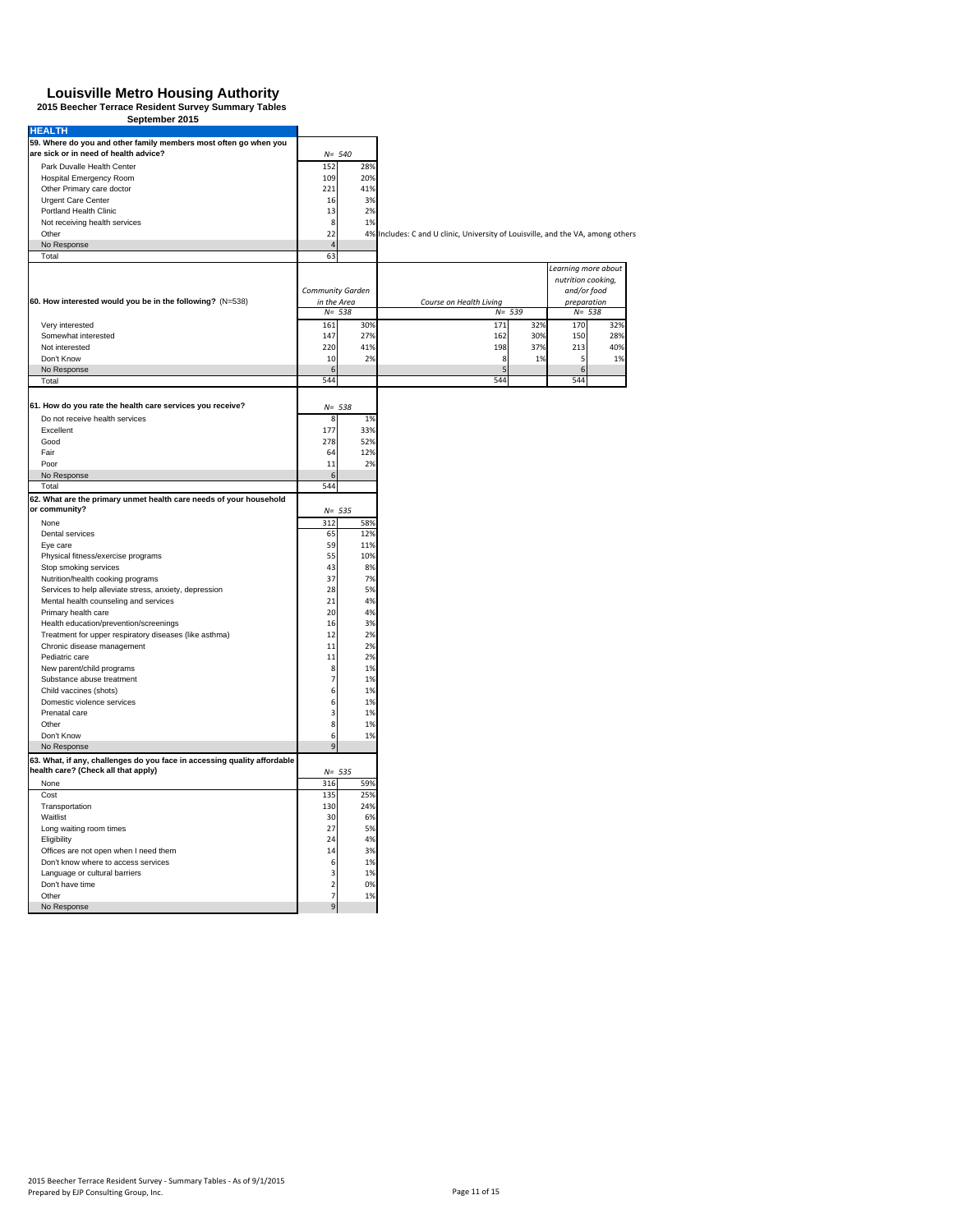| <b>HEALTH</b>                                                                                             |                |                  |                                                                                 |     |                     |     |
|-----------------------------------------------------------------------------------------------------------|----------------|------------------|---------------------------------------------------------------------------------|-----|---------------------|-----|
| 59. Where do you and other family members most often go when you<br>are sick or in need of health advice? |                | $N = 540$        |                                                                                 |     |                     |     |
| Park Duvalle Health Center                                                                                | 152            | 28%              |                                                                                 |     |                     |     |
| <b>Hospital Emergency Room</b>                                                                            | 109            | 20%              |                                                                                 |     |                     |     |
| Other Primary care doctor                                                                                 | 221            | 41%              |                                                                                 |     |                     |     |
| Urgent Care Center                                                                                        | 16             | 3%               |                                                                                 |     |                     |     |
| Portland Health Clinic                                                                                    | 13             | 2%               |                                                                                 |     |                     |     |
| Not receiving health services                                                                             | 8              | 1%               |                                                                                 |     |                     |     |
| Other                                                                                                     | 22             |                  |                                                                                 |     |                     |     |
|                                                                                                           | $\overline{4}$ |                  | 4% Includes: C and U clinic, University of Louisville, and the VA, among others |     |                     |     |
| No Response<br>Total                                                                                      | 63             |                  |                                                                                 |     |                     |     |
|                                                                                                           |                |                  |                                                                                 |     | Learning more about |     |
|                                                                                                           |                |                  |                                                                                 |     | nutrition cooking,  |     |
|                                                                                                           |                | Community Garden |                                                                                 |     | and/or food         |     |
| 60. How interested would you be in the following? (N=538)                                                 |                | in the Area      | Course on Health Living                                                         |     | preparation         |     |
|                                                                                                           |                | $N = 538$        | $N = 539$                                                                       |     | $N = 538$           |     |
|                                                                                                           |                |                  |                                                                                 |     |                     |     |
| Very interested                                                                                           | 161            | 30%              | 171                                                                             | 32% | 170                 | 32% |
| Somewhat interested                                                                                       | 147            | 27%              | 162                                                                             | 30% | 150                 | 28% |
| Not interested                                                                                            | 220            | 41%              | 198                                                                             | 37% | 213                 | 40% |
| Don't Know                                                                                                | 10             | 2%               | 8                                                                               | 1%  | 5                   | 1%  |
| No Response                                                                                               | 6              |                  |                                                                                 |     | 6                   |     |
| Total                                                                                                     | 544            |                  | 544                                                                             |     | 544                 |     |
|                                                                                                           |                |                  |                                                                                 |     |                     |     |
| 61. How do you rate the health care services you receive?                                                 |                | $N = 538$        |                                                                                 |     |                     |     |
| Do not receive health services                                                                            | 8              | 1%               |                                                                                 |     |                     |     |
| Excellent                                                                                                 | 177            | 33%              |                                                                                 |     |                     |     |
| Good                                                                                                      | 278            | 52%              |                                                                                 |     |                     |     |
| Fair                                                                                                      | 64             | 12%              |                                                                                 |     |                     |     |
| Poor                                                                                                      | 11             | 2%               |                                                                                 |     |                     |     |
| No Response                                                                                               | 6              |                  |                                                                                 |     |                     |     |
| Total                                                                                                     | 544            |                  |                                                                                 |     |                     |     |
| 62. What are the primary unmet health care needs of your household                                        |                |                  |                                                                                 |     |                     |     |
| or community?                                                                                             |                | $N = 535$        |                                                                                 |     |                     |     |
| None                                                                                                      | 312            | 58%              |                                                                                 |     |                     |     |
| Dental services                                                                                           | 65             | 12%              |                                                                                 |     |                     |     |
| Eye care                                                                                                  | 59             | 11%              |                                                                                 |     |                     |     |
| Physical fitness/exercise programs                                                                        | 55             | 10%              |                                                                                 |     |                     |     |
| Stop smoking services                                                                                     | 43             | 8%               |                                                                                 |     |                     |     |
| Nutrition/health cooking programs                                                                         | 37             | 7%               |                                                                                 |     |                     |     |
| Services to help alleviate stress, anxiety, depression                                                    | 28             | 5%               |                                                                                 |     |                     |     |
| Mental health counseling and services                                                                     | 21             | 4%               |                                                                                 |     |                     |     |
| Primary health care                                                                                       | 20             | 4%               |                                                                                 |     |                     |     |
| Health education/prevention/screenings                                                                    | 16             | 3%               |                                                                                 |     |                     |     |
| Treatment for upper respiratory diseases (like asthma)                                                    | 12             | 2%               |                                                                                 |     |                     |     |
| Chronic disease management                                                                                | 11             | 2%               |                                                                                 |     |                     |     |
| Pediatric care                                                                                            | 11             | 2%               |                                                                                 |     |                     |     |
| New parent/child programs                                                                                 | 8              | 1%               |                                                                                 |     |                     |     |
| Substance abuse treatment                                                                                 | $\overline{7}$ | 1%               |                                                                                 |     |                     |     |
| Child vaccines (shots)                                                                                    | 6              | 1%               |                                                                                 |     |                     |     |
| Domestic violence services                                                                                | 6              | 1%               |                                                                                 |     |                     |     |
| Prenatal care                                                                                             | 3              | 1%               |                                                                                 |     |                     |     |
| Other                                                                                                     | 8              | 1%               |                                                                                 |     |                     |     |
| Don't Know                                                                                                | 6              | 1%               |                                                                                 |     |                     |     |
| No Response                                                                                               | Ç              |                  |                                                                                 |     |                     |     |
| 63. What, if any, challenges do you face in accessing quality affordable                                  |                |                  |                                                                                 |     |                     |     |
| health care? (Check all that apply)                                                                       |                | $N = 535$        |                                                                                 |     |                     |     |
| None                                                                                                      | 316            | 59%              |                                                                                 |     |                     |     |
| Cost                                                                                                      | 135            | 25%              |                                                                                 |     |                     |     |
| Transportation                                                                                            | 130            | 24%              |                                                                                 |     |                     |     |
| Waitlist                                                                                                  | 30             | 6%               |                                                                                 |     |                     |     |
| Long waiting room times                                                                                   | 27             | 5%               |                                                                                 |     |                     |     |
| Eligibility                                                                                               | 24             | 4%               |                                                                                 |     |                     |     |
| Offices are not open when I need them                                                                     | 14             | 3%               |                                                                                 |     |                     |     |
| Don't know where to access services                                                                       | 6              | 1%               |                                                                                 |     |                     |     |
| Language or cultural barriers                                                                             | 3              | 1%               |                                                                                 |     |                     |     |
| Don't have time                                                                                           | $\overline{2}$ | 0%               |                                                                                 |     |                     |     |
| Other                                                                                                     | $\overline{7}$ | 1%               |                                                                                 |     |                     |     |
|                                                                                                           | $\mathbf{q}$   |                  |                                                                                 |     |                     |     |
| No Response                                                                                               |                |                  |                                                                                 |     |                     |     |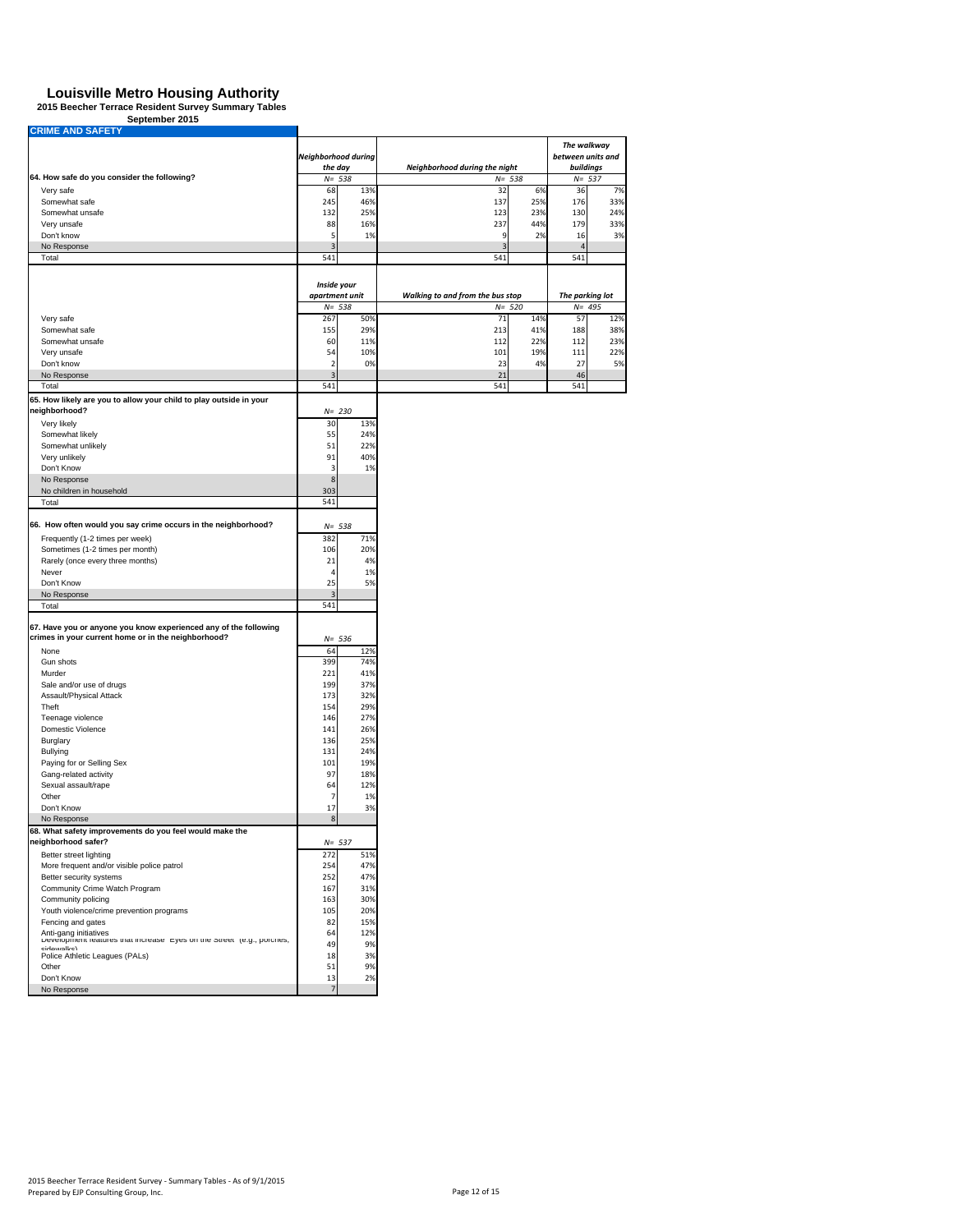| <b>CRIME AND SAFETY</b>                                                                                                 |                         |            |                                  |            |                   |                        |  |  |
|-------------------------------------------------------------------------------------------------------------------------|-------------------------|------------|----------------------------------|------------|-------------------|------------------------|--|--|
|                                                                                                                         |                         |            |                                  |            | The walkway       |                        |  |  |
|                                                                                                                         | Neighborhood during     |            |                                  |            | between units and |                        |  |  |
|                                                                                                                         | the day                 |            | Neighborhood during the night    |            |                   | buildings<br>$N = 537$ |  |  |
| 64. How safe do you consider the following?                                                                             |                         | $N = 538$  | $N = 538$                        |            |                   |                        |  |  |
| Very safe<br>Somewhat safe                                                                                              | 68<br>245               | 13%<br>46% | 32<br>137                        | 6%<br>25%  | 36<br>176         | 7%<br>33%              |  |  |
| Somewhat unsafe                                                                                                         | 132                     | 25%        | 123                              | 23%        | 130               | 24%                    |  |  |
| Very unsafe                                                                                                             | 88                      | 16%        | 237                              | 44%        | 179               | 33%                    |  |  |
| Don't know                                                                                                              | 5                       | 1%         | 9                                | 2%         | 16                | 3%                     |  |  |
| No Response                                                                                                             | $\overline{\mathbf{3}}$ |            | $\overline{\mathbf{3}}$          |            | $\overline{4}$    |                        |  |  |
| Total                                                                                                                   | 541                     |            | 541                              |            | 541               |                        |  |  |
|                                                                                                                         |                         |            |                                  |            |                   |                        |  |  |
|                                                                                                                         | Inside your             |            |                                  |            |                   |                        |  |  |
|                                                                                                                         | apartment unit          |            | Walking to and from the bus stop |            | The parking lot   |                        |  |  |
|                                                                                                                         |                         | $N = 538$  | $N = 520$                        |            | $N = 495$         |                        |  |  |
| Very safe                                                                                                               | 267                     | 50%        | 71                               | 14%        | 57                | 12%                    |  |  |
| Somewhat safe                                                                                                           | 155                     | 29%        | 213                              | 41%        | 188               | 38%                    |  |  |
| Somewhat unsafe<br>Very unsafe                                                                                          | 60<br>54                | 11%<br>10% | 112<br>101                       | 22%<br>19% | 112<br>111        | 23%<br>22%             |  |  |
| Don't know                                                                                                              | $\overline{2}$          | 0%         | 23                               | 4%         | 27                | 5%                     |  |  |
| No Response                                                                                                             | $\overline{3}$          |            | 21                               |            | 46                |                        |  |  |
| Total                                                                                                                   | 541                     |            | 541                              |            | 541               |                        |  |  |
| 65. How likely are you to allow your child to play outside in your                                                      |                         |            |                                  |            |                   |                        |  |  |
| neighborhood?                                                                                                           |                         | $N = 230$  |                                  |            |                   |                        |  |  |
| Very likely                                                                                                             | 30                      | 13%        |                                  |            |                   |                        |  |  |
| Somewhat likely                                                                                                         | 55                      | 24%        |                                  |            |                   |                        |  |  |
| Somewhat unlikely                                                                                                       | 51                      | 22%        |                                  |            |                   |                        |  |  |
| Very unlikely                                                                                                           | 91                      | 40%        |                                  |            |                   |                        |  |  |
| Don't Know                                                                                                              | 3                       | 1%         |                                  |            |                   |                        |  |  |
| No Response                                                                                                             | 8                       |            |                                  |            |                   |                        |  |  |
| No children in household                                                                                                | 303                     |            |                                  |            |                   |                        |  |  |
| Total                                                                                                                   | 541                     |            |                                  |            |                   |                        |  |  |
|                                                                                                                         |                         |            |                                  |            |                   |                        |  |  |
| 66. How often would you say crime occurs in the neighborhood?                                                           |                         | $N = 538$  |                                  |            |                   |                        |  |  |
| Frequently (1-2 times per week)                                                                                         | 382<br>106              | 71%<br>20% |                                  |            |                   |                        |  |  |
| Sometimes (1-2 times per month)<br>Rarely (once every three months)                                                     | 21                      | 4%         |                                  |            |                   |                        |  |  |
| Never                                                                                                                   | 4                       | 1%         |                                  |            |                   |                        |  |  |
| Don't Know                                                                                                              | 25                      | 5%         |                                  |            |                   |                        |  |  |
| No Response                                                                                                             | $\overline{3}$          |            |                                  |            |                   |                        |  |  |
| Total                                                                                                                   | 541                     |            |                                  |            |                   |                        |  |  |
|                                                                                                                         |                         |            |                                  |            |                   |                        |  |  |
| 67. Have you or anyone you know experienced any of the following<br>crimes in your current home or in the neighborhood? |                         | $N = 536$  |                                  |            |                   |                        |  |  |
| None                                                                                                                    | 64                      | 12%        |                                  |            |                   |                        |  |  |
| Gun shots                                                                                                               | 399                     | 74%        |                                  |            |                   |                        |  |  |
| Murder                                                                                                                  | 221                     | 41%        |                                  |            |                   |                        |  |  |
| Sale and/or use of drugs                                                                                                | 199                     | 37%        |                                  |            |                   |                        |  |  |
| Assault/Physical Attack                                                                                                 | 173                     | 32%        |                                  |            |                   |                        |  |  |
| Theft                                                                                                                   | 154                     | 29%        |                                  |            |                   |                        |  |  |
| Teenage violence                                                                                                        | 146                     | 27%        |                                  |            |                   |                        |  |  |
| Domestic Violence                                                                                                       | 141                     | 26%        |                                  |            |                   |                        |  |  |
| Burglary                                                                                                                | 136                     | 25%        |                                  |            |                   |                        |  |  |
| Bullying                                                                                                                | 131                     | 24%        |                                  |            |                   |                        |  |  |
| Paying for or Selling Sex                                                                                               | 101                     | 19%        |                                  |            |                   |                        |  |  |
| Gang-related activity                                                                                                   | 97                      | 18%        |                                  |            |                   |                        |  |  |
| Sexual assault/rape                                                                                                     | 64                      | 12%        |                                  |            |                   |                        |  |  |
| Other                                                                                                                   | $\overline{7}$          | 1%         |                                  |            |                   |                        |  |  |
| Don't Know                                                                                                              | 17                      | 3%         |                                  |            |                   |                        |  |  |
| No Response                                                                                                             | 8                       |            |                                  |            |                   |                        |  |  |
| 68. What safety improvements do you feel would make the<br>neighborhood safer?                                          |                         | $N = 537$  |                                  |            |                   |                        |  |  |
| Better street lighting                                                                                                  | 272                     | 51%        |                                  |            |                   |                        |  |  |
| More frequent and/or visible police patrol                                                                              | 254                     | 47%        |                                  |            |                   |                        |  |  |
| Better security systems                                                                                                 | 252                     | 47%        |                                  |            |                   |                        |  |  |
| Community Crime Watch Program                                                                                           | 167                     | 31%        |                                  |            |                   |                        |  |  |
| Community policing                                                                                                      | 163                     | 30%        |                                  |            |                   |                        |  |  |
| Youth violence/crime prevention programs                                                                                | 105                     | 20%        |                                  |            |                   |                        |  |  |
| Fencing and gates                                                                                                       | 82                      | 15%        |                                  |            |                   |                        |  |  |
| Anti-gang initiatives                                                                                                   | 64                      | 12%        |                                  |            |                   |                        |  |  |
| Development reatures that increase leyes on the Street (e.g., porches,<br>cidowalke)                                    | 49                      | 9%         |                                  |            |                   |                        |  |  |
| Police Athletic Leagues (PALs)                                                                                          | 18                      | 3%         |                                  |            |                   |                        |  |  |
| Other                                                                                                                   | 51                      | 9%         |                                  |            |                   |                        |  |  |
| Don't Know                                                                                                              | 13                      | 2%         |                                  |            |                   |                        |  |  |
| No Response                                                                                                             | $\overline{7}$          |            |                                  |            |                   |                        |  |  |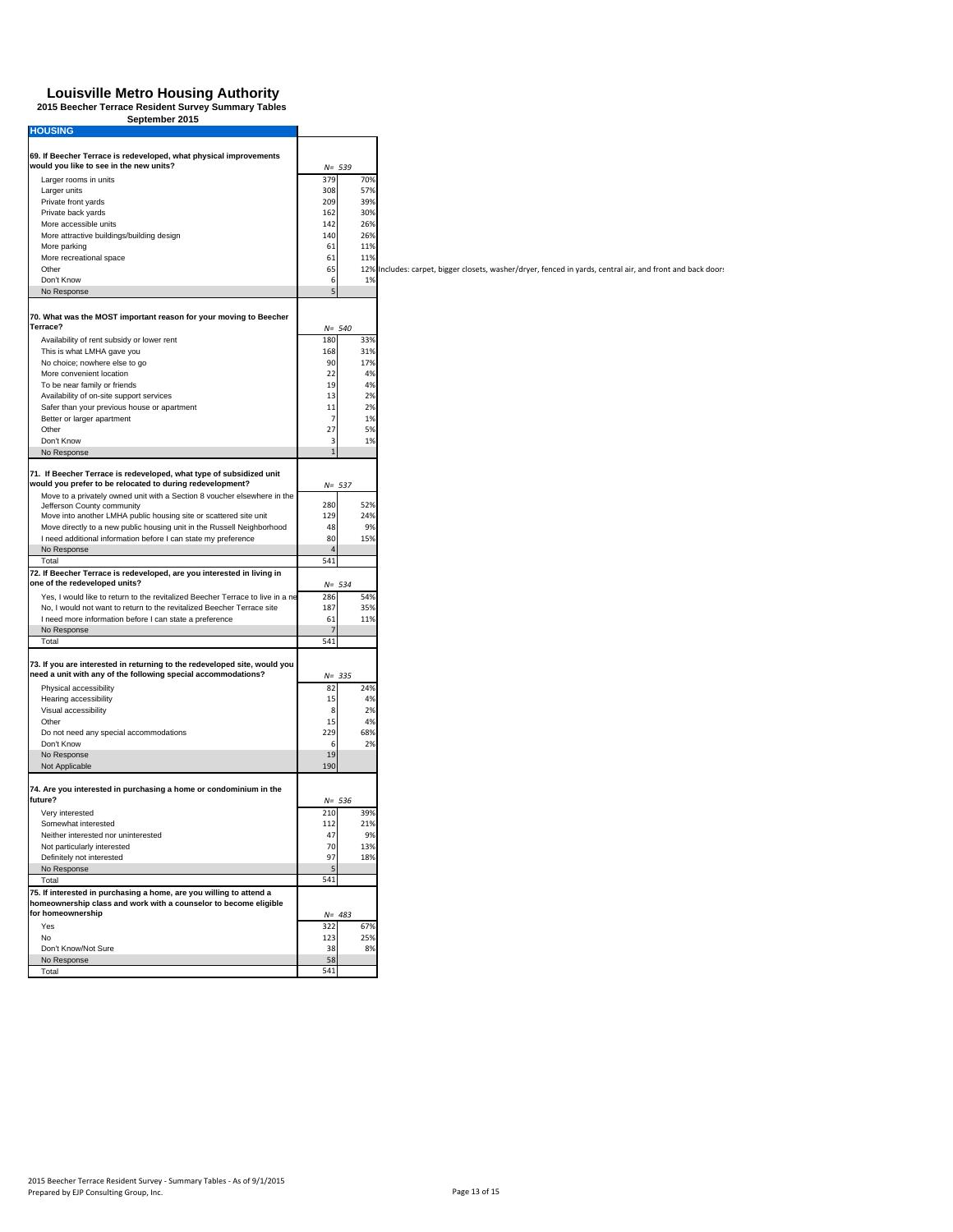| September 2015                                                                                                                           |                         |                                                                                                            |
|------------------------------------------------------------------------------------------------------------------------------------------|-------------------------|------------------------------------------------------------------------------------------------------------|
| <b>HOUSING</b>                                                                                                                           |                         |                                                                                                            |
|                                                                                                                                          |                         |                                                                                                            |
| 69. If Beecher Terrace is redeveloped, what physical improvements<br>would you like to see in the new units?                             | $N = 539$               |                                                                                                            |
| Larger rooms in units                                                                                                                    | 379<br>70%              |                                                                                                            |
| Larger units                                                                                                                             | 308<br>57%              |                                                                                                            |
| Private front yards                                                                                                                      | 209<br>39%              |                                                                                                            |
| Private back yards                                                                                                                       | 162<br>30%              |                                                                                                            |
| More accessible units                                                                                                                    | 142<br>26%              |                                                                                                            |
| More attractive buildings/building design                                                                                                | 140<br>26%              |                                                                                                            |
| More parking                                                                                                                             | 61<br>11%               |                                                                                                            |
| More recreational space                                                                                                                  | 61<br>11%               |                                                                                                            |
| Other                                                                                                                                    | 65                      | 12% Includes: carpet, bigger closets, washer/dryer, fenced in yards, central air, and front and back door: |
| Don't Know                                                                                                                               | 6<br>1%<br>5            |                                                                                                            |
| No Response                                                                                                                              |                         |                                                                                                            |
| 70. What was the MOST important reason for your moving to Beecher<br>Terrace?                                                            |                         |                                                                                                            |
| Availability of rent subsidy or lower rent                                                                                               | $N = 540$<br>180<br>33% |                                                                                                            |
| This is what LMHA gave you                                                                                                               | 168<br>31%              |                                                                                                            |
| No choice; nowhere else to go                                                                                                            | 90<br>17%               |                                                                                                            |
| More convenient location                                                                                                                 | 22<br>4%                |                                                                                                            |
| To be near family or friends                                                                                                             | 19<br>4%                |                                                                                                            |
| Availability of on-site support services                                                                                                 | 13<br>2%                |                                                                                                            |
| Safer than your previous house or apartment                                                                                              | 11<br>2%                |                                                                                                            |
| Better or larger apartment                                                                                                               | $\overline{7}$<br>1%    |                                                                                                            |
| Other                                                                                                                                    | 27<br>5%                |                                                                                                            |
| Don't Know                                                                                                                               | 3<br>1%                 |                                                                                                            |
| No Response                                                                                                                              |                         |                                                                                                            |
| 71. If Beecher Terrace is redeveloped, what type of subsidized unit                                                                      |                         |                                                                                                            |
| would you prefer to be relocated to during redevelopment?                                                                                | $N = 537$               |                                                                                                            |
| Move to a privately owned unit with a Section 8 voucher elsewhere in the                                                                 |                         |                                                                                                            |
| Jefferson County community                                                                                                               | 280<br>52%<br>129       |                                                                                                            |
| Move into another LMHA public housing site or scattered site unit                                                                        | 24%<br>48<br>9%         |                                                                                                            |
| Move directly to a new public housing unit in the Russell Neighborhood<br>I need additional information before I can state my preference | 80<br>15%               |                                                                                                            |
| No Response                                                                                                                              |                         |                                                                                                            |
| Total                                                                                                                                    | 541                     |                                                                                                            |
| 72. If Beecher Terrace is redeveloped, are you interested in living in                                                                   |                         |                                                                                                            |
| one of the redeveloped units?                                                                                                            | $N = 534$               |                                                                                                            |
| Yes, I would like to return to the revitalized Beecher Terrace to live in a ne                                                           | 286<br>54%              |                                                                                                            |
| No, I would not want to return to the revitalized Beecher Terrace site                                                                   | 187<br>35%              |                                                                                                            |
| I need more information before I can state a preference                                                                                  | 61<br>11%               |                                                                                                            |
| No Response                                                                                                                              | 7                       |                                                                                                            |
| Total                                                                                                                                    | 541                     |                                                                                                            |
| 73. If you are interested in returning to the redeveloped site, would you                                                                |                         |                                                                                                            |
| need a unit with any of the following special accommodations?                                                                            | $N = 335$               |                                                                                                            |
| Physical accessibility                                                                                                                   | 82<br>24%               |                                                                                                            |
| Hearing accessibility                                                                                                                    | 15<br>4%                |                                                                                                            |
| Visual accessibility                                                                                                                     | 8<br>2%<br>15           |                                                                                                            |
| Other<br>Do not need any special accommodations                                                                                          | 4%<br>229<br>68%        |                                                                                                            |
| Don't Know                                                                                                                               | 2%<br>6                 |                                                                                                            |
| No Response                                                                                                                              | 19                      |                                                                                                            |
| Not Applicable                                                                                                                           | 190                     |                                                                                                            |
| 74. Are you interested in purchasing a home or condominium in the                                                                        |                         |                                                                                                            |
| future?                                                                                                                                  | $N = 536$               |                                                                                                            |
| Very interested                                                                                                                          | 210<br>39%              |                                                                                                            |
| Somewhat interested                                                                                                                      | 112<br>21%              |                                                                                                            |
| Neither interested nor uninterested                                                                                                      | 47<br>9%                |                                                                                                            |
| Not particularly interested                                                                                                              | 70<br>13%               |                                                                                                            |
| Definitely not interested                                                                                                                | 97<br>18%               |                                                                                                            |
| No Response                                                                                                                              | 5                       |                                                                                                            |
| Total                                                                                                                                    | 541                     |                                                                                                            |
| 75. If interested in purchasing a home, are you willing to attend a                                                                      |                         |                                                                                                            |
| homeownership class and work with a counselor to become eligible                                                                         |                         |                                                                                                            |
| for homeownership                                                                                                                        | $N = 483$               |                                                                                                            |
| Yes                                                                                                                                      | 322<br>67%              |                                                                                                            |
| No                                                                                                                                       | 25%<br>123              |                                                                                                            |
| Don't Know/Not Sure                                                                                                                      | 38<br>8%                |                                                                                                            |
| No Response                                                                                                                              | 58<br>541               |                                                                                                            |
| Total                                                                                                                                    |                         |                                                                                                            |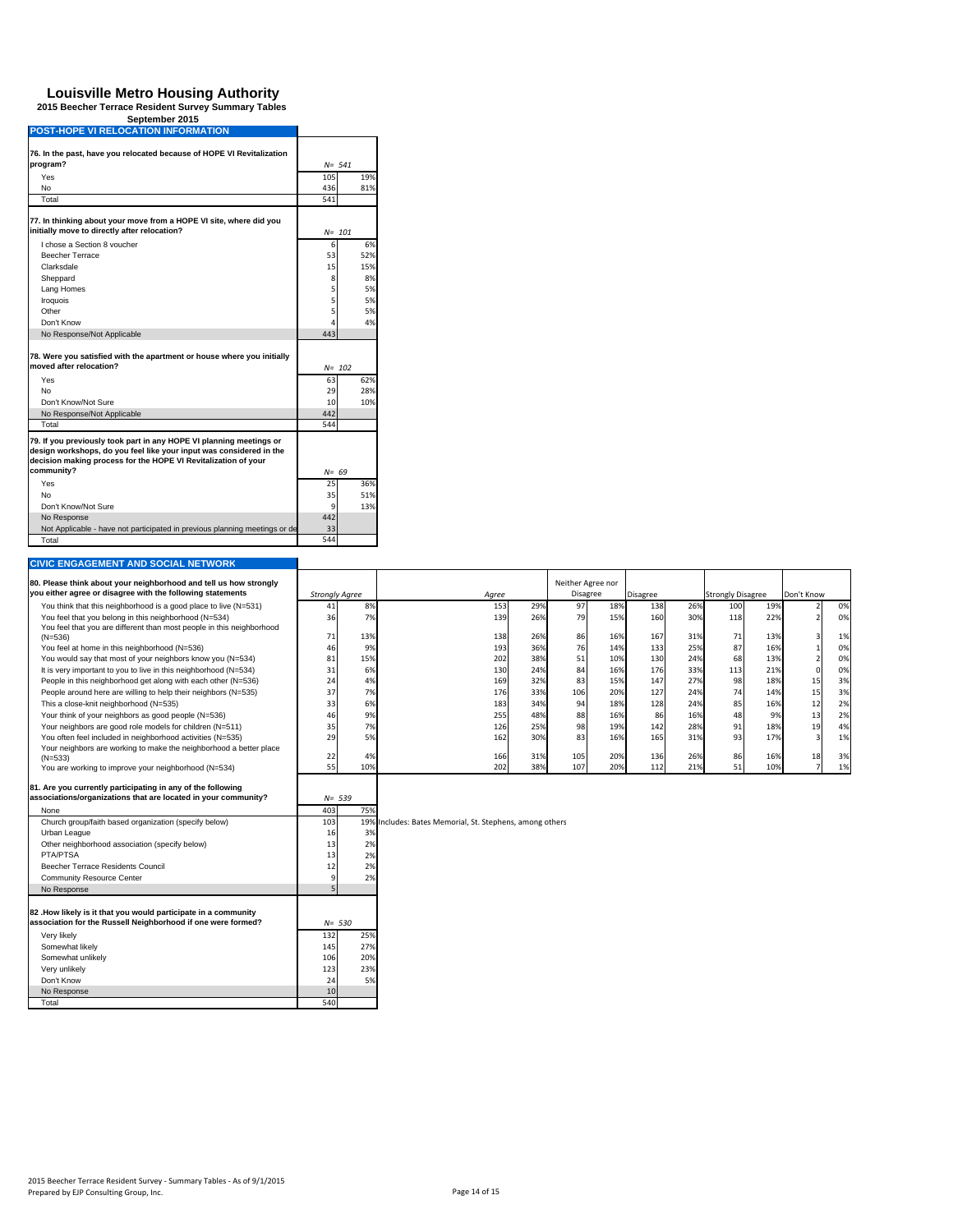ä.

| September 2015                             |  |
|--------------------------------------------|--|
| <b>POST-HOPE VI RELOCATION INFORMATION</b> |  |

| 76. In the past, have you relocated because of HOPE VI Revitalization                                                                                                                                        |           |           |  |  |  |
|--------------------------------------------------------------------------------------------------------------------------------------------------------------------------------------------------------------|-----------|-----------|--|--|--|
| program?                                                                                                                                                                                                     | $N = 541$ |           |  |  |  |
| Yes                                                                                                                                                                                                          | 105       | 19%       |  |  |  |
| No                                                                                                                                                                                                           | 436       | 81%       |  |  |  |
| Total                                                                                                                                                                                                        | 541       |           |  |  |  |
| 77. In thinking about your move from a HOPE VI site, where did you<br>initially move to directly after relocation?                                                                                           |           | N= 101    |  |  |  |
| Lchose a Section 8 youcher                                                                                                                                                                                   | 6         | 6%        |  |  |  |
| Beecher Terrace                                                                                                                                                                                              | 53        | 52%       |  |  |  |
| Clarksdale                                                                                                                                                                                                   | 15        | 15%       |  |  |  |
| Sheppard                                                                                                                                                                                                     | 8         | 8%        |  |  |  |
| Lang Homes                                                                                                                                                                                                   | 5         | 5%        |  |  |  |
| Iroquois                                                                                                                                                                                                     | 5         | 5%        |  |  |  |
| Other                                                                                                                                                                                                        | 5         | 5%        |  |  |  |
| Don't Know                                                                                                                                                                                                   | 4         | 4%        |  |  |  |
| No Response/Not Applicable                                                                                                                                                                                   | 443       |           |  |  |  |
| 78. Were you satisfied with the apartment or house where you initially<br>moved after relocation?                                                                                                            |           | $N = 102$ |  |  |  |
| Yes                                                                                                                                                                                                          | 63        | 62%       |  |  |  |
| No                                                                                                                                                                                                           | 29        | 28%       |  |  |  |
| Don't Know/Not Sure                                                                                                                                                                                          | 10        | 10%       |  |  |  |
| No Response/Not Applicable                                                                                                                                                                                   | 442       |           |  |  |  |
| Total                                                                                                                                                                                                        | 544       |           |  |  |  |
| 79. If you previously took part in any HOPE VI planning meetings or<br>design workshops, do you feel like your input was considered in the<br>decision making process for the HOPE VI Revitalization of your |           |           |  |  |  |
| community?                                                                                                                                                                                                   | $N = 69$  |           |  |  |  |
| Yes                                                                                                                                                                                                          | 25        | 36%       |  |  |  |
| No                                                                                                                                                                                                           | 35        | 51%       |  |  |  |
| Don't Know/Not Sure                                                                                                                                                                                          | 9         | 13%       |  |  |  |
| No Response                                                                                                                                                                                                  | 442       |           |  |  |  |
| Not Applicable - have not participated in previous planning meetings or de                                                                                                                                   | 33        |           |  |  |  |
| Total                                                                                                                                                                                                        | 544       |           |  |  |  |

| <b>CIVIC ENGAGEMENT AND SOCIAL NETWORK</b>                            |                       |     |                                                          |     |                   |     |                 |     |                          |     |                |    |
|-----------------------------------------------------------------------|-----------------------|-----|----------------------------------------------------------|-----|-------------------|-----|-----------------|-----|--------------------------|-----|----------------|----|
| 80. Please think about your neighborhood and tell us how strongly     |                       |     |                                                          |     | Neither Agree nor |     |                 |     |                          |     |                |    |
| you either agree or disagree with the following statements            | <b>Strongly Agree</b> |     | Agree                                                    |     | <b>Disagree</b>   |     | <b>Disagree</b> |     | <b>Strongly Disagree</b> |     | Don't Know     |    |
| You think that this neighborhood is a good place to live (N=531)      | 41                    | 8%  | 153                                                      | 29% | 97                | 18% | 138             | 26% | 100                      | 19% |                | 0% |
| You feel that you belong in this neighborhood (N=534)                 | 36                    | 7%  | 139                                                      | 26% | 79                | 15% | 160             | 30% | 118                      | 22% | $\overline{2}$ | 0% |
| You feel that you are different than most people in this neighborhood |                       |     |                                                          |     |                   |     |                 |     |                          |     |                |    |
| $(N=536)$                                                             | 71                    | 13% | 138                                                      | 26% | 86                | 16% | 167             | 31% | 71                       | 13% | 3              | 1% |
| You feel at home in this neighborhood (N=536)                         | 46                    | 9%  | 193                                                      | 36% | 76                | 14% | 133             | 25% | 87                       | 16% |                | 0% |
| You would say that most of your neighbors know you (N=534)            | 81                    | 15% | 202                                                      | 38% | 51                | 10% | 130             | 24% | 68                       | 13% | $\overline{2}$ | 0% |
| It is very important to you to live in this neighborhood (N=534)      | 31                    | 6%  | 130                                                      | 24% | 84                | 16% | 176             | 33% | 113                      | 21% | $\mathbf 0$    | 0% |
| People in this neighborhood get along with each other (N=536)         | 24                    | 4%  | 169                                                      | 32% | 83                | 15% | 147             | 27% | 98                       | 18% | 15             | 3% |
| People around here are willing to help their neighbors (N=535)        | 37                    | 7%  | 176                                                      | 33% | 106               | 20% | 127             | 24% | 74                       | 14% | 15             | 3% |
| This a close-knit neighborhood (N=535)                                | 33                    | 6%  | 183                                                      | 34% | 94                | 18% | 128             | 24% | 85                       | 16% | 12             | 2% |
| Your think of your neighbors as good people (N=536)                   | 46                    | 9%  | 255                                                      | 48% | 88                | 16% | 86              | 16% | 48                       | 9%  | 13             | 2% |
| Your neighbors are good role models for children (N=511)              | 35                    | 7%  | 126                                                      | 25% | 98                | 19% | 142             | 28% | 91                       | 18% | 19             | 4% |
| You often feel included in neighborhood activities (N=535)            | 29                    | 5%  | 162                                                      | 30% | 83                | 16% | 165             | 31% | 93                       | 17% | $\overline{3}$ | 1% |
| Your neighbors are working to make the neighborhood a better place    |                       | 4%  | 166                                                      | 31% | 105               | 20% | 136             | 26% | 86                       | 16% | 18             | 3% |
| $(N=533)$<br>You are working to improve your neighborhood (N=534)     | 22<br>55              | 10% | 202                                                      | 38% | 107               | 20% | 112             | 21% | 51                       | 10% | $\overline{7}$ | 1% |
|                                                                       |                       |     |                                                          |     |                   |     |                 |     |                          |     |                |    |
| 81. Are you currently participating in any of the following           |                       |     |                                                          |     |                   |     |                 |     |                          |     |                |    |
| associations/organizations that are located in your community?        | $N = 539$             |     |                                                          |     |                   |     |                 |     |                          |     |                |    |
| None                                                                  | 403                   | 75% |                                                          |     |                   |     |                 |     |                          |     |                |    |
| Church group/faith based organization (specify below)                 | 103                   |     | 19% Includes: Bates Memorial, St. Stephens, among others |     |                   |     |                 |     |                          |     |                |    |
| Urban League                                                          | 16                    | 3%  |                                                          |     |                   |     |                 |     |                          |     |                |    |
| Other neighborhood association (specify below)                        | 13                    | 2%  |                                                          |     |                   |     |                 |     |                          |     |                |    |
| <b>PTA/PTSA</b>                                                       | 13                    | 2%  |                                                          |     |                   |     |                 |     |                          |     |                |    |
| Beecher Terrace Residents Council                                     | 12                    | 2%  |                                                          |     |                   |     |                 |     |                          |     |                |    |
| <b>Community Resource Center</b>                                      |                       | 2%  |                                                          |     |                   |     |                 |     |                          |     |                |    |
| No Response                                                           |                       |     |                                                          |     |                   |     |                 |     |                          |     |                |    |
|                                                                       |                       |     |                                                          |     |                   |     |                 |     |                          |     |                |    |
| 82 .How likely is it that you would participate in a community        |                       |     |                                                          |     |                   |     |                 |     |                          |     |                |    |
| association for the Russell Neighborhood if one were formed?          | $N = 530$             |     |                                                          |     |                   |     |                 |     |                          |     |                |    |
| Very likely                                                           | 132                   | 25% |                                                          |     |                   |     |                 |     |                          |     |                |    |
| Somewhat likely                                                       | 145                   | 27% |                                                          |     |                   |     |                 |     |                          |     |                |    |
| Somewhat unlikely                                                     | 106                   | 20% |                                                          |     |                   |     |                 |     |                          |     |                |    |
| Verv unlikelv                                                         | 123                   | 23% |                                                          |     |                   |     |                 |     |                          |     |                |    |
| Don't Know                                                            | 24                    | 5%  |                                                          |     |                   |     |                 |     |                          |     |                |    |
| No Response                                                           | 10                    |     |                                                          |     |                   |     |                 |     |                          |     |                |    |
| Total                                                                 | 540                   |     |                                                          |     |                   |     |                 |     |                          |     |                |    |